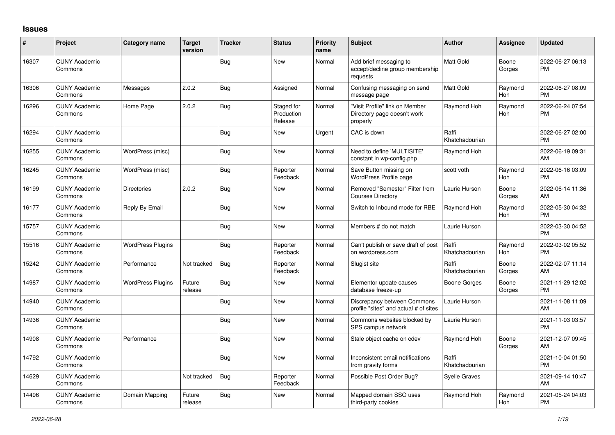## **Issues**

| #     | Project                         | <b>Category name</b>     | <b>Target</b><br>version | <b>Tracker</b> | <b>Status</b>                       | Priority<br>name | <b>Subject</b>                                                            | <b>Author</b>           | Assignee              | <b>Updated</b>                |
|-------|---------------------------------|--------------------------|--------------------------|----------------|-------------------------------------|------------------|---------------------------------------------------------------------------|-------------------------|-----------------------|-------------------------------|
| 16307 | <b>CUNY Academic</b><br>Commons |                          |                          | <b>Bug</b>     | <b>New</b>                          | Normal           | Add brief messaging to<br>accept/decline group membership<br>requests     | <b>Matt Gold</b>        | Boone<br>Gorges       | 2022-06-27 06:13<br><b>PM</b> |
| 16306 | <b>CUNY Academic</b><br>Commons | Messages                 | 2.0.2                    | <b>Bug</b>     | Assigned                            | Normal           | Confusing messaging on send<br>message page                               | Matt Gold               | Raymond<br>Hoh        | 2022-06-27 08:09<br><b>PM</b> |
| 16296 | <b>CUNY Academic</b><br>Commons | Home Page                | 2.0.2                    | <b>Bug</b>     | Staged for<br>Production<br>Release | Normal           | "Visit Profile" link on Member<br>Directory page doesn't work<br>properly | Raymond Hoh             | Raymond<br>Hoh        | 2022-06-24 07:54<br><b>PM</b> |
| 16294 | <b>CUNY Academic</b><br>Commons |                          |                          | Bug            | <b>New</b>                          | Urgent           | CAC is down                                                               | Raffi<br>Khatchadourian |                       | 2022-06-27 02:00<br><b>PM</b> |
| 16255 | <b>CUNY Academic</b><br>Commons | WordPress (misc)         |                          | <b>Bug</b>     | <b>New</b>                          | Normal           | Need to define 'MULTISITE'<br>constant in wp-config.php                   | Raymond Hoh             |                       | 2022-06-19 09:31<br>AM        |
| 16245 | <b>CUNY Academic</b><br>Commons | WordPress (misc)         |                          | Bug            | Reporter<br>Feedback                | Normal           | Save Button missing on<br>WordPress Profile page                          | scott voth              | Raymond<br><b>Hoh</b> | 2022-06-16 03:09<br><b>PM</b> |
| 16199 | <b>CUNY Academic</b><br>Commons | Directories              | 2.0.2                    | Bug            | New                                 | Normal           | Removed "Semester" Filter from<br><b>Courses Directory</b>                | Laurie Hurson           | Boone<br>Gorges       | 2022-06-14 11:36<br>AM        |
| 16177 | <b>CUNY Academic</b><br>Commons | Reply By Email           |                          | <b>Bug</b>     | <b>New</b>                          | Normal           | Switch to Inbound mode for RBE                                            | Raymond Hoh             | Raymond<br>Hoh        | 2022-05-30 04:32<br>PM        |
| 15757 | <b>CUNY Academic</b><br>Commons |                          |                          | Bug            | <b>New</b>                          | Normal           | Members # do not match                                                    | Laurie Hurson           |                       | 2022-03-30 04:52<br><b>PM</b> |
| 15516 | <b>CUNY Academic</b><br>Commons | <b>WordPress Plugins</b> |                          | <b>Bug</b>     | Reporter<br>Feedback                | Normal           | Can't publish or save draft of post<br>on wordpress.com                   | Raffi<br>Khatchadourian | Raymond<br>Hoh        | 2022-03-02 05:52<br><b>PM</b> |
| 15242 | <b>CUNY Academic</b><br>Commons | Performance              | Not tracked              | <b>Bug</b>     | Reporter<br>Feedback                | Normal           | Slugist site                                                              | Raffi<br>Khatchadourian | Boone<br>Gorges       | 2022-02-07 11:14<br>AM        |
| 14987 | <b>CUNY Academic</b><br>Commons | <b>WordPress Plugins</b> | Future<br>release        | Bug            | New                                 | Normal           | Elementor update causes<br>database freeze-up                             | <b>Boone Gorges</b>     | Boone<br>Gorges       | 2021-11-29 12:02<br><b>PM</b> |
| 14940 | <b>CUNY Academic</b><br>Commons |                          |                          | <b>Bug</b>     | <b>New</b>                          | Normal           | Discrepancy between Commons<br>profile "sites" and actual # of sites      | Laurie Hurson           |                       | 2021-11-08 11:09<br>AM        |
| 14936 | <b>CUNY Academic</b><br>Commons |                          |                          | <b>Bug</b>     | <b>New</b>                          | Normal           | Commons websites blocked by<br>SPS campus network                         | Laurie Hurson           |                       | 2021-11-03 03:57<br><b>PM</b> |
| 14908 | <b>CUNY Academic</b><br>Commons | Performance              |                          | Bug            | <b>New</b>                          | Normal           | Stale object cache on cdev                                                | Raymond Hoh             | Boone<br>Gorges       | 2021-12-07 09:45<br>AM        |
| 14792 | <b>CUNY Academic</b><br>Commons |                          |                          | <b>Bug</b>     | <b>New</b>                          | Normal           | Inconsistent email notifications<br>from gravity forms                    | Raffi<br>Khatchadourian |                       | 2021-10-04 01:50<br><b>PM</b> |
| 14629 | <b>CUNY Academic</b><br>Commons |                          | Not tracked              | Bug            | Reporter<br>Feedback                | Normal           | Possible Post Order Bug?                                                  | <b>Syelle Graves</b>    |                       | 2021-09-14 10:47<br>AM        |
| 14496 | <b>CUNY Academic</b><br>Commons | Domain Mapping           | Future<br>release        | <b>Bug</b>     | <b>New</b>                          | Normal           | Mapped domain SSO uses<br>third-party cookies                             | Raymond Hoh             | Raymond<br>Hoh        | 2021-05-24 04:03<br><b>PM</b> |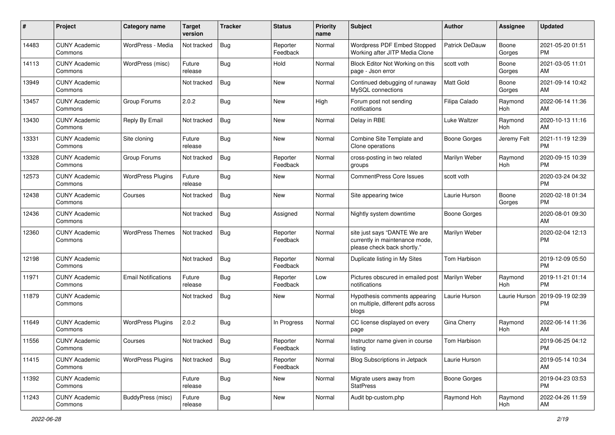| #     | Project                         | <b>Category name</b>       | <b>Target</b><br>version | <b>Tracker</b> | <b>Status</b>        | <b>Priority</b><br>name | Subject                                                                                       | Author                | <b>Assignee</b> | <b>Updated</b>                |
|-------|---------------------------------|----------------------------|--------------------------|----------------|----------------------|-------------------------|-----------------------------------------------------------------------------------------------|-----------------------|-----------------|-------------------------------|
| 14483 | <b>CUNY Academic</b><br>Commons | WordPress - Media          | Not tracked              | <b>Bug</b>     | Reporter<br>Feedback | Normal                  | Wordpress PDF Embed Stopped<br>Working after JITP Media Clone                                 | <b>Patrick DeDauw</b> | Boone<br>Gorges | 2021-05-20 01:51<br>PM        |
| 14113 | <b>CUNY Academic</b><br>Commons | WordPress (misc)           | Future<br>release        | Bug            | Hold                 | Normal                  | Block Editor Not Working on this<br>page - Json error                                         | scott voth            | Boone<br>Gorges | 2021-03-05 11:01<br>AM        |
| 13949 | <b>CUNY Academic</b><br>Commons |                            | Not tracked              | Bug            | New                  | Normal                  | Continued debugging of runaway<br>MySQL connections                                           | <b>Matt Gold</b>      | Boone<br>Gorges | 2021-09-14 10:42<br>AM        |
| 13457 | <b>CUNY Academic</b><br>Commons | Group Forums               | 2.0.2                    | <b>Bug</b>     | <b>New</b>           | High                    | Forum post not sending<br>notifications                                                       | Filipa Calado         | Raymond<br>Hoh  | 2022-06-14 11:36<br>AM        |
| 13430 | <b>CUNY Academic</b><br>Commons | Reply By Email             | Not tracked              | <b>Bug</b>     | New                  | Normal                  | Delay in RBE                                                                                  | Luke Waltzer          | Raymond<br>Hoh  | 2020-10-13 11:16<br>AM        |
| 13331 | <b>CUNY Academic</b><br>Commons | Site cloning               | Future<br>release        | Bug            | <b>New</b>           | Normal                  | Combine Site Template and<br>Clone operations                                                 | <b>Boone Gorges</b>   | Jeremy Felt     | 2021-11-19 12:39<br>PM        |
| 13328 | <b>CUNY Academic</b><br>Commons | Group Forums               | Not tracked              | <b>Bug</b>     | Reporter<br>Feedback | Normal                  | cross-posting in two related<br>groups                                                        | Marilyn Weber         | Raymond<br>Hoh  | 2020-09-15 10:39<br><b>PM</b> |
| 12573 | <b>CUNY Academic</b><br>Commons | <b>WordPress Plugins</b>   | Future<br>release        | <b>Bug</b>     | New                  | Normal                  | <b>CommentPress Core Issues</b>                                                               | scott voth            |                 | 2020-03-24 04:32<br><b>PM</b> |
| 12438 | <b>CUNY Academic</b><br>Commons | Courses                    | Not tracked              | <b>Bug</b>     | New                  | Normal                  | Site appearing twice                                                                          | Laurie Hurson         | Boone<br>Gorges | 2020-02-18 01:34<br><b>PM</b> |
| 12436 | <b>CUNY Academic</b><br>Commons |                            | Not tracked              | <b>Bug</b>     | Assigned             | Normal                  | Nightly system downtime                                                                       | <b>Boone Gorges</b>   |                 | 2020-08-01 09:30<br>AM        |
| 12360 | <b>CUNY Academic</b><br>Commons | <b>WordPress Themes</b>    | Not tracked              | Bug            | Reporter<br>Feedback | Normal                  | site just says "DANTE We are<br>currently in maintenance mode,<br>please check back shortly." | Marilyn Weber         |                 | 2020-02-04 12:13<br>PM        |
| 12198 | <b>CUNY Academic</b><br>Commons |                            | Not tracked              | <b>Bug</b>     | Reporter<br>Feedback | Normal                  | Duplicate listing in My Sites                                                                 | Tom Harbison          |                 | 2019-12-09 05:50<br><b>PM</b> |
| 11971 | <b>CUNY Academic</b><br>Commons | <b>Email Notifications</b> | Future<br>release        | <b>Bug</b>     | Reporter<br>Feedback | Low                     | Pictures obscured in emailed post<br>notifications                                            | Marilyn Weber         | Raymond<br>Hoh  | 2019-11-21 01:14<br><b>PM</b> |
| 11879 | <b>CUNY Academic</b><br>Commons |                            | Not tracked              | Bug            | New                  | Normal                  | Hypothesis comments appearing<br>on multiple, different pdfs across<br>blogs                  | Laurie Hurson         | Laurie Hurson   | 2019-09-19 02:39<br><b>PM</b> |
| 11649 | <b>CUNY Academic</b><br>Commons | <b>WordPress Plugins</b>   | 2.0.2                    | <b>Bug</b>     | In Progress          | Normal                  | CC license displayed on every<br>page                                                         | Gina Cherry           | Raymond<br>Hoh  | 2022-06-14 11:36<br>AM        |
| 11556 | <b>CUNY Academic</b><br>Commons | Courses                    | Not tracked              | Bug            | Reporter<br>Feedback | Normal                  | Instructor name given in course<br>listing                                                    | Tom Harbison          |                 | 2019-06-25 04:12<br>PM        |
| 11415 | <b>CUNY Academic</b><br>Commons | <b>WordPress Plugins</b>   | Not tracked              | Bug            | Reporter<br>Feedback | Normal                  | <b>Blog Subscriptions in Jetpack</b>                                                          | Laurie Hurson         |                 | 2019-05-14 10:34<br>AM        |
| 11392 | <b>CUNY Academic</b><br>Commons |                            | Future<br>release        | <b>Bug</b>     | New                  | Normal                  | Migrate users away from<br><b>StatPress</b>                                                   | <b>Boone Gorges</b>   |                 | 2019-04-23 03:53<br><b>PM</b> |
| 11243 | <b>CUNY Academic</b><br>Commons | BuddyPress (misc)          | Future<br>release        | <b>Bug</b>     | New                  | Normal                  | Audit bp-custom.php                                                                           | Raymond Hoh           | Raymond<br>Hoh  | 2022-04-26 11:59<br>AM        |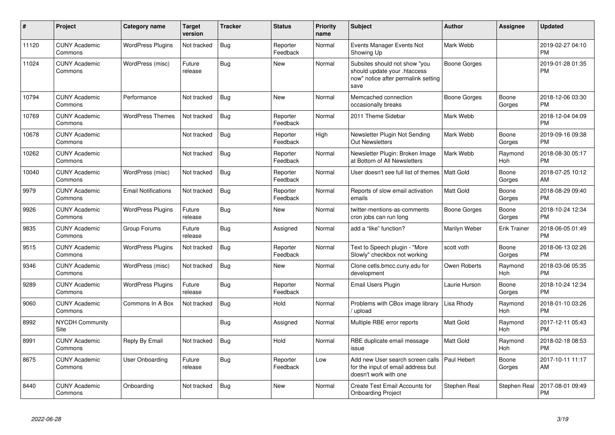| #     | Project                         | <b>Category name</b>       | Target<br>version | <b>Tracker</b> | <b>Status</b>        | <b>Priority</b><br>name | <b>Subject</b>                                                                                               | <b>Author</b>    | <b>Assignee</b>       | <b>Updated</b>                |
|-------|---------------------------------|----------------------------|-------------------|----------------|----------------------|-------------------------|--------------------------------------------------------------------------------------------------------------|------------------|-----------------------|-------------------------------|
| 11120 | <b>CUNY Academic</b><br>Commons | <b>WordPress Plugins</b>   | Not tracked       | Bug            | Reporter<br>Feedback | Normal                  | Events Manager Events Not<br>Showing Up                                                                      | Mark Webb        |                       | 2019-02-27 04:10<br><b>PM</b> |
| 11024 | <b>CUNY Academic</b><br>Commons | WordPress (misc)           | Future<br>release | <b>Bug</b>     | <b>New</b>           | Normal                  | Subsites should not show "you<br>should update your .htaccess<br>now" notice after permalink setting<br>save | Boone Gorges     |                       | 2019-01-28 01:35<br><b>PM</b> |
| 10794 | <b>CUNY Academic</b><br>Commons | Performance                | Not tracked       | Bug            | <b>New</b>           | Normal                  | Memcached connection<br>occasionally breaks                                                                  | Boone Gorges     | Boone<br>Gorges       | 2018-12-06 03:30<br><b>PM</b> |
| 10769 | <b>CUNY Academic</b><br>Commons | <b>WordPress Themes</b>    | Not tracked       | Bug            | Reporter<br>Feedback | Normal                  | 2011 Theme Sidebar                                                                                           | Mark Webb        |                       | 2018-12-04 04:09<br><b>PM</b> |
| 10678 | <b>CUNY Academic</b><br>Commons |                            | Not tracked       | Bug            | Reporter<br>Feedback | High                    | Newsletter Plugin Not Sending<br><b>Out Newsletters</b>                                                      | Mark Webb        | Boone<br>Gorges       | 2019-09-16 09:38<br><b>PM</b> |
| 10262 | <b>CUNY Academic</b><br>Commons |                            | Not tracked       | <b>Bug</b>     | Reporter<br>Feedback | Normal                  | Newsletter Plugin: Broken Image<br>at Bottom of All Newsletters                                              | Mark Webb        | Raymond<br>Hoh        | 2018-08-30 05:17<br><b>PM</b> |
| 10040 | <b>CUNY Academic</b><br>Commons | WordPress (misc)           | Not tracked       | Bug            | Reporter<br>Feedback | Normal                  | User doesn't see full list of themes                                                                         | <b>Matt Gold</b> | Boone<br>Gorges       | 2018-07-25 10:12<br>AM        |
| 9979  | <b>CUNY Academic</b><br>Commons | <b>Email Notifications</b> | Not tracked       | Bug            | Reporter<br>Feedback | Normal                  | Reports of slow email activation<br>emails                                                                   | <b>Matt Gold</b> | Boone<br>Gorges       | 2018-08-29 09:40<br><b>PM</b> |
| 9926  | <b>CUNY Academic</b><br>Commons | <b>WordPress Plugins</b>   | Future<br>release | Bug            | <b>New</b>           | Normal                  | twitter-mentions-as-comments<br>cron jobs can run long                                                       | Boone Gorges     | Boone<br>Gorges       | 2018-10-24 12:34<br><b>PM</b> |
| 9835  | <b>CUNY Academic</b><br>Commons | Group Forums               | Future<br>release | Bug            | Assigned             | Normal                  | add a "like" function?                                                                                       | Marilyn Weber    | <b>Erik Trainer</b>   | 2018-06-05 01:49<br><b>PM</b> |
| 9515  | <b>CUNY Academic</b><br>Commons | <b>WordPress Plugins</b>   | Not tracked       | Bug            | Reporter<br>Feedback | Normal                  | Text to Speech plugin - "More<br>Slowly" checkbox not working                                                | scott voth       | Boone<br>Gorges       | 2018-06-13 02:26<br><b>PM</b> |
| 9346  | <b>CUNY Academic</b><br>Commons | WordPress (misc)           | Not tracked       | <b>Bug</b>     | <b>New</b>           | Normal                  | Clone cetls.bmcc.cuny.edu for<br>development                                                                 | Owen Roberts     | Raymond<br>Hoh        | 2018-03-06 05:35<br><b>PM</b> |
| 9289  | <b>CUNY Academic</b><br>Commons | <b>WordPress Plugins</b>   | Future<br>release | <b>Bug</b>     | Reporter<br>Feedback | Normal                  | Email Users Plugin                                                                                           | Laurie Hurson    | Boone<br>Gorges       | 2018-10-24 12:34<br><b>PM</b> |
| 9060  | <b>CUNY Academic</b><br>Commons | Commons In A Box           | Not tracked       | <b>Bug</b>     | Hold                 | Normal                  | Problems with CBox image library<br>upload                                                                   | Lisa Rhody       | Raymond<br>Hoh        | 2018-01-10 03:26<br><b>PM</b> |
| 8992  | <b>NYCDH Community</b><br>Site  |                            |                   | <b>Bug</b>     | Assigned             | Normal                  | Multiple RBE error reports                                                                                   | <b>Matt Gold</b> | Raymond<br><b>Hoh</b> | 2017-12-11 05:43<br><b>PM</b> |
| 8991  | <b>CUNY Academic</b><br>Commons | Reply By Email             | Not tracked       | <b>Bug</b>     | Hold                 | Normal                  | RBE duplicate email message<br>issue                                                                         | Matt Gold        | Raymond<br>Hoh        | 2018-02-18 08:53<br><b>PM</b> |
| 8675  | <b>CUNY Academic</b><br>Commons | User Onboarding            | Future<br>release | Bug            | Reporter<br>Feedback | Low                     | Add new User search screen calls<br>for the input of email address but<br>doesn't work with one              | Paul Hebert      | Boone<br>Gorges       | 2017-10-11 11:17<br>AM        |
| 8440  | <b>CUNY Academic</b><br>Commons | Onboarding                 | Not tracked       | <b>Bug</b>     | <b>New</b>           | Normal                  | <b>Create Test Email Accounts for</b><br><b>Onboarding Project</b>                                           | Stephen Real     | <b>Stephen Real</b>   | 2017-08-01 09:49<br><b>PM</b> |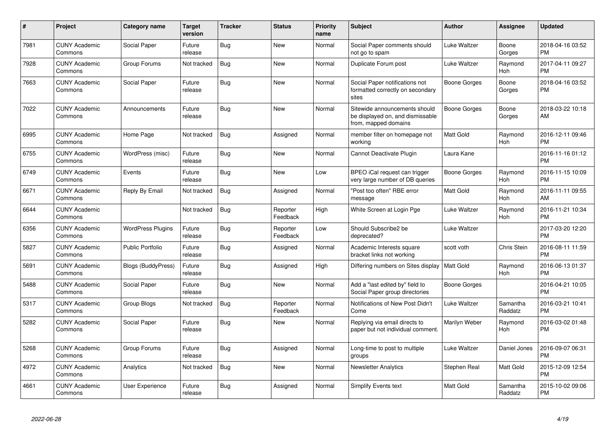| $\#$ | Project                         | <b>Category name</b>      | <b>Target</b><br>version | <b>Tracker</b> | <b>Status</b>        | <b>Priority</b><br>name | <b>Subject</b>                                                                            | <b>Author</b>       | <b>Assignee</b>     | <b>Updated</b>                |
|------|---------------------------------|---------------------------|--------------------------|----------------|----------------------|-------------------------|-------------------------------------------------------------------------------------------|---------------------|---------------------|-------------------------------|
| 7981 | <b>CUNY Academic</b><br>Commons | Social Paper              | Future<br>release        | <b>Bug</b>     | <b>New</b>           | Normal                  | Social Paper comments should<br>not go to spam                                            | <b>Luke Waltzer</b> | Boone<br>Gorges     | 2018-04-16 03:52<br><b>PM</b> |
| 7928 | <b>CUNY Academic</b><br>Commons | Group Forums              | Not tracked              | Bug            | <b>New</b>           | Normal                  | Duplicate Forum post                                                                      | Luke Waltzer        | Raymond<br>Hoh      | 2017-04-11 09:27<br><b>PM</b> |
| 7663 | <b>CUNY Academic</b><br>Commons | Social Paper              | Future<br>release        | Bug            | <b>New</b>           | Normal                  | Social Paper notifications not<br>formatted correctly on secondary<br>sites               | Boone Gorges        | Boone<br>Gorges     | 2018-04-16 03:52<br><b>PM</b> |
| 7022 | <b>CUNY Academic</b><br>Commons | Announcements             | Future<br>release        | Bug            | New                  | Normal                  | Sitewide announcements should<br>be displayed on, and dismissable<br>from, mapped domains | Boone Gorges        | Boone<br>Gorges     | 2018-03-22 10:18<br>AM        |
| 6995 | <b>CUNY Academic</b><br>Commons | Home Page                 | Not tracked              | Bug            | Assigned             | Normal                  | member filter on homepage not<br>working                                                  | Matt Gold           | Raymond<br>Hoh      | 2016-12-11 09:46<br><b>PM</b> |
| 6755 | <b>CUNY Academic</b><br>Commons | WordPress (misc)          | Future<br>release        | Bug            | <b>New</b>           | Normal                  | Cannot Deactivate Plugin                                                                  | Laura Kane          |                     | 2016-11-16 01:12<br><b>PM</b> |
| 6749 | <b>CUNY Academic</b><br>Commons | Events                    | Future<br>release        | Bug            | <b>New</b>           | Low                     | BPEO iCal request can trigger<br>very large number of DB queries                          | Boone Gorges        | Raymond<br>Hoh      | 2016-11-15 10:09<br><b>PM</b> |
| 6671 | <b>CUNY Academic</b><br>Commons | Reply By Email            | Not tracked              | <b>Bug</b>     | Assigned             | Normal                  | 'Post too often" RBE error<br>message                                                     | Matt Gold           | Raymond<br>Hoh      | 2016-11-11 09:55<br>AM        |
| 6644 | <b>CUNY Academic</b><br>Commons |                           | Not tracked              | <b>Bug</b>     | Reporter<br>Feedback | High                    | White Screen at Login Pge                                                                 | Luke Waltzer        | Raymond<br>Hoh      | 2016-11-21 10:34<br><b>PM</b> |
| 6356 | <b>CUNY Academic</b><br>Commons | <b>WordPress Plugins</b>  | Future<br>release        | Bug            | Reporter<br>Feedback | Low                     | Should Subscribe2 be<br>deprecated?                                                       | Luke Waltzer        |                     | 2017-03-20 12:20<br><b>PM</b> |
| 5827 | <b>CUNY Academic</b><br>Commons | <b>Public Portfolio</b>   | Future<br>release        | <b>Bug</b>     | Assigned             | Normal                  | Academic Interests square<br>bracket links not working                                    | scott voth          | Chris Stein         | 2016-08-11 11:59<br><b>PM</b> |
| 5691 | <b>CUNY Academic</b><br>Commons | <b>Blogs (BuddyPress)</b> | Future<br>release        | <b>Bug</b>     | Assigned             | High                    | Differing numbers on Sites display   Matt Gold                                            |                     | Raymond<br>Hoh      | 2016-06-13 01:37<br><b>PM</b> |
| 5488 | <b>CUNY Academic</b><br>Commons | Social Paper              | Future<br>release        | <b>Bug</b>     | <b>New</b>           | Normal                  | Add a "last edited by" field to<br>Social Paper group directories                         | Boone Gorges        |                     | 2016-04-21 10:05<br><b>PM</b> |
| 5317 | <b>CUNY Academic</b><br>Commons | Group Blogs               | Not tracked              | <b>Bug</b>     | Reporter<br>Feedback | Normal                  | Notifications of New Post Didn't<br>Come                                                  | Luke Waltzer        | Samantha<br>Raddatz | 2016-03-21 10:41<br><b>PM</b> |
| 5282 | <b>CUNY Academic</b><br>Commons | Social Paper              | Future<br>release        | Bug            | New                  | Normal                  | Replying via email directs to<br>paper but not individual comment.                        | Marilyn Weber       | Raymond<br>Hoh      | 2016-03-02 01:48<br><b>PM</b> |
| 5268 | <b>CUNY Academic</b><br>Commons | Group Forums              | Future<br>release        | Bug            | Assigned             | Normal                  | Long-time to post to multiple<br>groups                                                   | Luke Waltzer        | Daniel Jones        | 2016-09-07 06:31<br><b>PM</b> |
| 4972 | <b>CUNY Academic</b><br>Commons | Analytics                 | Not tracked              | Bug            | <b>New</b>           | Normal                  | <b>Newsletter Analytics</b>                                                               | Stephen Real        | Matt Gold           | 2015-12-09 12:54<br><b>PM</b> |
| 4661 | <b>CUNY Academic</b><br>Commons | <b>User Experience</b>    | Future<br>release        | Bug            | Assigned             | Normal                  | Simplify Events text                                                                      | Matt Gold           | Samantha<br>Raddatz | 2015-10-02 09:06<br>PM        |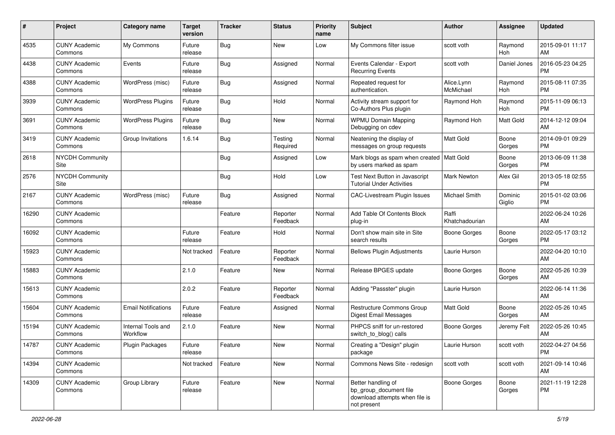| #     | Project                         | <b>Category name</b>           | Target<br>version | <b>Tracker</b> | <b>Status</b>        | <b>Priority</b><br>name | <b>Subject</b>                                                                                | <b>Author</b>           | <b>Assignee</b>       | <b>Updated</b>                |
|-------|---------------------------------|--------------------------------|-------------------|----------------|----------------------|-------------------------|-----------------------------------------------------------------------------------------------|-------------------------|-----------------------|-------------------------------|
| 4535  | <b>CUNY Academic</b><br>Commons | My Commons                     | Future<br>release | <b>Bug</b>     | <b>New</b>           | Low                     | My Commons filter issue                                                                       | scott voth              | Raymond<br><b>Hoh</b> | 2015-09-01 11:17<br>AM        |
| 4438  | <b>CUNY Academic</b><br>Commons | Events                         | Future<br>release | <b>Bug</b>     | Assigned             | Normal                  | Events Calendar - Export<br><b>Recurring Events</b>                                           | scott voth              | Daniel Jones          | 2016-05-23 04:25<br><b>PM</b> |
| 4388  | <b>CUNY Academic</b><br>Commons | WordPress (misc)               | Future<br>release | <b>Bug</b>     | Assigned             | Normal                  | Repeated request for<br>authentication.                                                       | Alice.Lynn<br>McMichael | Raymond<br>Hoh        | 2015-08-11 07:35<br><b>PM</b> |
| 3939  | <b>CUNY Academic</b><br>Commons | <b>WordPress Plugins</b>       | Future<br>release | <b>Bug</b>     | Hold                 | Normal                  | Activity stream support for<br>Co-Authors Plus plugin                                         | Raymond Hoh             | Raymond<br>Hoh        | 2015-11-09 06:13<br><b>PM</b> |
| 3691  | <b>CUNY Academic</b><br>Commons | <b>WordPress Plugins</b>       | Future<br>release | <b>Bug</b>     | New                  | Normal                  | <b>WPMU Domain Mapping</b><br>Debugging on cdev                                               | Raymond Hoh             | <b>Matt Gold</b>      | 2014-12-12 09:04<br>AM        |
| 3419  | <b>CUNY Academic</b><br>Commons | Group Invitations              | 1.6.14            | <b>Bug</b>     | Testing<br>Required  | Normal                  | Neatening the display of<br>messages on group requests                                        | Matt Gold               | Boone<br>Gorges       | 2014-09-01 09:29<br><b>PM</b> |
| 2618  | NYCDH Community<br>Site         |                                |                   | <b>Bug</b>     | Assigned             | Low                     | Mark blogs as spam when created   Matt Gold<br>by users marked as spam                        |                         | Boone<br>Gorges       | 2013-06-09 11:38<br><b>PM</b> |
| 2576  | NYCDH Community<br>Site         |                                |                   | <b>Bug</b>     | Hold                 | Low                     | Test Next Button in Javascript<br>Tutorial Under Activities                                   | <b>Mark Newton</b>      | Alex Gil              | 2013-05-18 02:55<br><b>PM</b> |
| 2167  | <b>CUNY Academic</b><br>Commons | WordPress (misc)               | Future<br>release | <b>Bug</b>     | Assigned             | Normal                  | <b>CAC-Livestream Plugin Issues</b>                                                           | Michael Smith           | Dominic<br>Giglio     | 2015-01-02 03:06<br><b>PM</b> |
| 16290 | <b>CUNY Academic</b><br>Commons |                                |                   | Feature        | Reporter<br>Feedback | Normal                  | Add Table Of Contents Block<br>plug-in                                                        | Raffi<br>Khatchadourian |                       | 2022-06-24 10:26<br>AM        |
| 16092 | <b>CUNY Academic</b><br>Commons |                                | Future<br>release | Feature        | Hold                 | Normal                  | Don't show main site in Site<br>search results                                                | <b>Boone Gorges</b>     | Boone<br>Gorges       | 2022-05-17 03:12<br><b>PM</b> |
| 15923 | <b>CUNY Academic</b><br>Commons |                                | Not tracked       | Feature        | Reporter<br>Feedback | Normal                  | <b>Bellows Plugin Adjustments</b>                                                             | Laurie Hurson           |                       | 2022-04-20 10:10<br>AM        |
| 15883 | <b>CUNY Academic</b><br>Commons |                                | 2.1.0             | Feature        | New                  | Normal                  | Release BPGES update                                                                          | <b>Boone Gorges</b>     | Boone<br>Gorges       | 2022-05-26 10:39<br>AM        |
| 15613 | <b>CUNY Academic</b><br>Commons |                                | 2.0.2             | Feature        | Reporter<br>Feedback | Normal                  | Adding "Passster" plugin                                                                      | Laurie Hurson           |                       | 2022-06-14 11:36<br>AM        |
| 15604 | <b>CUNY Academic</b><br>Commons | <b>Email Notifications</b>     | Future<br>release | Feature        | Assigned             | Normal                  | Restructure Commons Group<br><b>Digest Email Messages</b>                                     | <b>Matt Gold</b>        | Boone<br>Gorges       | 2022-05-26 10:45<br>AM        |
| 15194 | <b>CUNY Academic</b><br>Commons | Internal Tools and<br>Workflow | 2.1.0             | Feature        | New                  | Normal                  | PHPCS sniff for un-restored<br>switch_to_blog() calls                                         | <b>Boone Gorges</b>     | Jeremy Felt           | 2022-05-26 10:45<br>AM        |
| 14787 | <b>CUNY Academic</b><br>Commons | <b>Plugin Packages</b>         | Future<br>release | Feature        | New                  | Normal                  | Creating a "Design" plugin<br>package                                                         | Laurie Hurson           | scott voth            | 2022-04-27 04:56<br>PM        |
| 14394 | <b>CUNY Academic</b><br>Commons |                                | Not tracked       | Feature        | New                  | Normal                  | Commons News Site - redesign                                                                  | scott voth              | scott voth            | 2021-09-14 10:46<br>AM        |
| 14309 | <b>CUNY Academic</b><br>Commons | Group Library                  | Future<br>release | Feature        | New                  | Normal                  | Better handling of<br>bp_group_document file<br>download attempts when file is<br>not present | Boone Gorges            | Boone<br>Gorges       | 2021-11-19 12:28<br><b>PM</b> |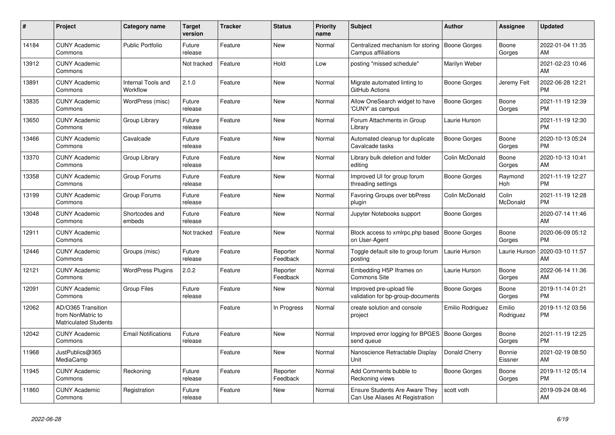| #     | <b>Project</b>                                                          | Category name                  | Target<br>version | <b>Tracker</b> | <b>Status</b>        | <b>Priority</b><br>name | <b>Subject</b>                                                           | <b>Author</b>       | <b>Assignee</b>     | <b>Updated</b>                |
|-------|-------------------------------------------------------------------------|--------------------------------|-------------------|----------------|----------------------|-------------------------|--------------------------------------------------------------------------|---------------------|---------------------|-------------------------------|
| 14184 | <b>CUNY Academic</b><br>Commons                                         | <b>Public Portfolio</b>        | Future<br>release | Feature        | <b>New</b>           | Normal                  | Centralized mechanism for storing<br>Campus affiliations                 | <b>Boone Gorges</b> | Boone<br>Gorges     | 2022-01-04 11:35<br>AM        |
| 13912 | <b>CUNY Academic</b><br>Commons                                         |                                | Not tracked       | Feature        | Hold                 | Low                     | posting "missed schedule"                                                | Marilyn Weber       |                     | 2021-02-23 10:46<br>AM        |
| 13891 | <b>CUNY Academic</b><br>Commons                                         | Internal Tools and<br>Workflow | 2.1.0             | Feature        | <b>New</b>           | Normal                  | Migrate automated linting to<br>GitHub Actions                           | Boone Gorges        | Jeremy Felt         | 2022-06-28 12:21<br><b>PM</b> |
| 13835 | <b>CUNY Academic</b><br>Commons                                         | WordPress (misc)               | Future<br>release | Feature        | <b>New</b>           | Normal                  | Allow OneSearch widget to have<br>'CUNY' as campus                       | <b>Boone Gorges</b> | Boone<br>Gorges     | 2021-11-19 12:39<br><b>PM</b> |
| 13650 | <b>CUNY Academic</b><br>Commons                                         | Group Library                  | Future<br>release | Feature        | New                  | Normal                  | Forum Attachments in Group<br>Library                                    | Laurie Hurson       |                     | 2021-11-19 12:30<br><b>PM</b> |
| 13466 | <b>CUNY Academic</b><br>Commons                                         | Cavalcade                      | Future<br>release | Feature        | New                  | Normal                  | Automated cleanup for duplicate<br>Cavalcade tasks                       | Boone Gorges        | Boone<br>Gorges     | 2020-10-13 05:24<br><b>PM</b> |
| 13370 | <b>CUNY Academic</b><br>Commons                                         | Group Library                  | Future<br>release | Feature        | New                  | Normal                  | Library bulk deletion and folder<br>editing                              | Colin McDonald      | Boone<br>Gorges     | 2020-10-13 10:41<br>AM        |
| 13358 | <b>CUNY Academic</b><br>Commons                                         | Group Forums                   | Future<br>release | Feature        | <b>New</b>           | Normal                  | Improved UI for group forum<br>threading settings                        | Boone Gorges        | Raymond<br>Hoh      | 2021-11-19 12:27<br><b>PM</b> |
| 13199 | <b>CUNY Academic</b><br>Commons                                         | Group Forums                   | Future<br>release | Feature        | New                  | Normal                  | <b>Favoring Groups over bbPress</b><br>plugin                            | Colin McDonald      | Colin<br>McDonald   | 2021-11-19 12:28<br><b>PM</b> |
| 13048 | <b>CUNY Academic</b><br>Commons                                         | Shortcodes and<br>embeds       | Future<br>release | Feature        | <b>New</b>           | Normal                  | Jupyter Notebooks support                                                | Boone Gorges        |                     | 2020-07-14 11:46<br>AM        |
| 12911 | <b>CUNY Academic</b><br>Commons                                         |                                | Not tracked       | Feature        | <b>New</b>           | Normal                  | Block access to xmlrpc.php based<br>on User-Agent                        | <b>Boone Gorges</b> | Boone<br>Gorges     | 2020-06-09 05:12<br><b>PM</b> |
| 12446 | <b>CUNY Academic</b><br>Commons                                         | Groups (misc)                  | Future<br>release | Feature        | Reporter<br>Feedback | Normal                  | Toggle default site to group forum<br>posting                            | Laurie Hurson       | Laurie Hurson       | 2020-03-10 11:57<br>AM        |
| 12121 | <b>CUNY Academic</b><br>Commons                                         | <b>WordPress Plugins</b>       | 2.0.2             | Feature        | Reporter<br>Feedback | Normal                  | Embedding H5P Iframes on<br><b>Commons Site</b>                          | Laurie Hurson       | Boone<br>Gorges     | 2022-06-14 11:36<br>AM        |
| 12091 | <b>CUNY Academic</b><br>Commons                                         | Group Files                    | Future<br>release | Feature        | <b>New</b>           | Normal                  | Improved pre-upload file<br>validation for bp-group-documents            | Boone Gorges        | Boone<br>Gorges     | 2019-11-14 01:21<br><b>PM</b> |
| 12062 | AD/O365 Transition<br>from NonMatric to<br><b>Matriculated Students</b> |                                |                   | Feature        | In Progress          | Normal                  | create solution and console<br>project                                   | Emilio Rodriguez    | Emilio<br>Rodriguez | 2019-11-12 03:56<br><b>PM</b> |
| 12042 | <b>CUNY Academic</b><br>Commons                                         | <b>Email Notifications</b>     | Future<br>release | Feature        | <b>New</b>           | Normal                  | Improved error logging for BPGES   Boone Gorges<br>send queue            |                     | Boone<br>Gorges     | 2021-11-19 12:25<br><b>PM</b> |
| 11968 | JustPublics@365<br>MediaCamp                                            |                                |                   | Feature        | New                  | Normal                  | Nanoscience Retractable Display<br>Unit                                  | Donald Cherry       | Bonnie<br>Eissner   | 2021-02-19 08:50<br>AM        |
| 11945 | <b>CUNY Academic</b><br>Commons                                         | Reckoning                      | Future<br>release | Feature        | Reporter<br>Feedback | Normal                  | Add Comments bubble to<br>Reckoning views                                | Boone Gorges        | Boone<br>Gorges     | 2019-11-12 05:14<br><b>PM</b> |
| 11860 | <b>CUNY Academic</b><br>Commons                                         | Registration                   | Future<br>release | Feature        | <b>New</b>           | Normal                  | <b>Ensure Students Are Aware They</b><br>Can Use Aliases At Registration | scott voth          |                     | 2019-09-24 08:46<br>AM        |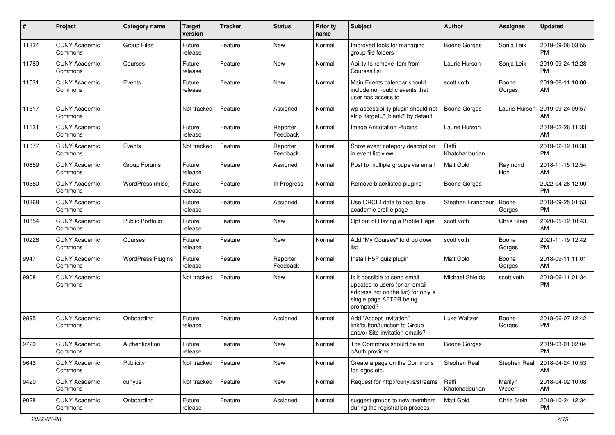| #     | Project                         | Category name            | <b>Target</b><br>version | <b>Tracker</b> | <b>Status</b>        | <b>Priority</b><br>name | <b>Subject</b>                                                                                                                               | Author                  | <b>Assignee</b>  | <b>Updated</b>                |
|-------|---------------------------------|--------------------------|--------------------------|----------------|----------------------|-------------------------|----------------------------------------------------------------------------------------------------------------------------------------------|-------------------------|------------------|-------------------------------|
| 11834 | <b>CUNY Academic</b><br>Commons | <b>Group Files</b>       | Future<br>release        | Feature        | <b>New</b>           | Normal                  | Improved tools for managing<br>group file folders                                                                                            | Boone Gorges            | Sonja Leix       | 2019-09-06 03:55<br><b>PM</b> |
| 11789 | <b>CUNY Academic</b><br>Commons | Courses                  | Future<br>release        | Feature        | New                  | Normal                  | Ability to remove item from<br>Courses list                                                                                                  | Laurie Hurson           | Sonja Leix       | 2019-09-24 12:28<br><b>PM</b> |
| 11531 | <b>CUNY Academic</b><br>Commons | Events                   | Future<br>release        | Feature        | New                  | Normal                  | Main Events calendar should<br>include non-public events that<br>user has access to                                                          | scott voth              | Boone<br>Gorges  | 2019-06-11 10:00<br>AM        |
| 11517 | <b>CUNY Academic</b><br>Commons |                          | Not tracked              | Feature        | Assigned             | Normal                  | wp-accessibility plugin should not<br>strip 'target="_blank" by default                                                                      | Boone Gorges            | Laurie Hurson    | 2019-09-24 09:57<br>AM        |
| 11131 | <b>CUNY Academic</b><br>Commons |                          | Future<br>release        | Feature        | Reporter<br>Feedback | Normal                  | Image Annotation Plugins                                                                                                                     | Laurie Hurson           |                  | 2019-02-26 11:33<br>AM        |
| 11077 | <b>CUNY Academic</b><br>Commons | Events                   | Not tracked              | Feature        | Reporter<br>Feedback | Normal                  | Show event category description<br>in event list view                                                                                        | Raffi<br>Khatchadourian |                  | 2019-02-12 10:38<br><b>PM</b> |
| 10659 | <b>CUNY Academic</b><br>Commons | Group Forums             | Future<br>release        | Feature        | Assigned             | Normal                  | Post to multiple groups via email                                                                                                            | Matt Gold               | Raymond<br>Hoh   | 2018-11-15 12:54<br>AM        |
| 10380 | <b>CUNY Academic</b><br>Commons | WordPress (misc)         | Future<br>release        | Feature        | In Progress          | Normal                  | Remove blacklisted plugins                                                                                                                   | Boone Gorges            |                  | 2022-04-26 12:00<br><b>PM</b> |
| 10368 | <b>CUNY Academic</b><br>Commons |                          | Future<br>release        | Feature        | Assigned             | Normal                  | Use ORCID data to populate<br>academic profile page                                                                                          | Stephen Francoeur       | Boone<br>Gorges  | 2018-09-25 01:53<br><b>PM</b> |
| 10354 | <b>CUNY Academic</b><br>Commons | <b>Public Portfolio</b>  | Future<br>release        | Feature        | New                  | Normal                  | Opt out of Having a Profile Page                                                                                                             | scott voth              | Chris Stein      | 2020-05-12 10:43<br>AM        |
| 10226 | <b>CUNY Academic</b><br>Commons | Courses                  | Future<br>release        | Feature        | New                  | Normal                  | Add "My Courses" to drop down<br>list                                                                                                        | scott voth              | Boone<br>Gorges  | 2021-11-19 12:42<br><b>PM</b> |
| 9947  | <b>CUNY Academic</b><br>Commons | <b>WordPress Plugins</b> | Future<br>release        | Feature        | Reporter<br>Feedback | Normal                  | Install H5P quiz plugin                                                                                                                      | <b>Matt Gold</b>        | Boone<br>Gorges  | 2018-09-11 11:01<br>AM        |
| 9908  | <b>CUNY Academic</b><br>Commons |                          | Not tracked              | Feature        | New                  | Normal                  | Is it possible to send email<br>updates to users (or an email<br>address not on the list) for only a<br>single page AFTER being<br>prompted? | <b>Michael Shields</b>  | scott voth       | 2018-06-11 01:34<br><b>PM</b> |
| 9895  | <b>CUNY Academic</b><br>Commons | Onboarding               | Future<br>release        | Feature        | Assigned             | Normal                  | Add "Accept Invitation"<br>link/button/function to Group<br>and/or Site invitation emails?                                                   | Luke Waltzer            | Boone<br>Gorges  | 2018-06-07 12:42<br><b>PM</b> |
| 9720  | <b>CUNY Academic</b><br>Commons | Authentication           | Future<br>release        | Feature        | New                  | Normal                  | The Commons should be an<br>oAuth provider                                                                                                   | <b>Boone Gorges</b>     |                  | 2019-03-01 02:04<br>PM        |
| 9643  | <b>CUNY Academic</b><br>Commons | Publicity                | Not tracked              | Feature        | New                  | Normal                  | Create a page on the Commons<br>for logos etc.                                                                                               | Stephen Real            | Stephen Real     | 2018-04-24 10:53<br>AM        |
| 9420  | <b>CUNY Academic</b><br>Commons | cuny.is                  | Not tracked              | Feature        | New                  | Normal                  | Request for http://cuny.is/streams                                                                                                           | Raffi<br>Khatchadourian | Marilyn<br>Weber | 2018-04-02 10:08<br>AM        |
| 9028  | <b>CUNY Academic</b><br>Commons | Onboarding               | Future<br>release        | Feature        | Assigned             | Normal                  | suggest groups to new members<br>during the registration process                                                                             | <b>Matt Gold</b>        | Chris Stein      | 2018-10-24 12:34<br>PM        |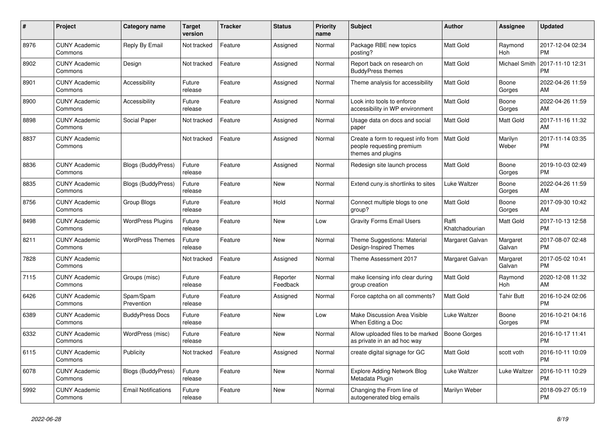| $\#$ | <b>Project</b>                  | Category name              | <b>Target</b><br>version | <b>Tracker</b> | <b>Status</b>        | Priority<br>name | <b>Subject</b>                                                                        | Author                  | Assignee             | <b>Updated</b>                |
|------|---------------------------------|----------------------------|--------------------------|----------------|----------------------|------------------|---------------------------------------------------------------------------------------|-------------------------|----------------------|-------------------------------|
| 8976 | <b>CUNY Academic</b><br>Commons | Reply By Email             | Not tracked              | Feature        | Assigned             | Normal           | Package RBE new topics<br>posting?                                                    | <b>Matt Gold</b>        | Raymond<br>Hoh       | 2017-12-04 02:34<br><b>PM</b> |
| 8902 | <b>CUNY Academic</b><br>Commons | Design                     | Not tracked              | Feature        | Assigned             | Normal           | Report back on research on<br><b>BuddyPress themes</b>                                | <b>Matt Gold</b>        | <b>Michael Smith</b> | 2017-11-10 12:31<br><b>PM</b> |
| 8901 | <b>CUNY Academic</b><br>Commons | Accessibility              | Future<br>release        | Feature        | Assigned             | Normal           | Theme analysis for accessibility                                                      | <b>Matt Gold</b>        | Boone<br>Gorges      | 2022-04-26 11:59<br>AM        |
| 8900 | <b>CUNY Academic</b><br>Commons | Accessibility              | Future<br>release        | Feature        | Assigned             | Normal           | Look into tools to enforce<br>accessibility in WP environment                         | Matt Gold               | Boone<br>Gorges      | 2022-04-26 11:59<br>AM        |
| 8898 | <b>CUNY Academic</b><br>Commons | Social Paper               | Not tracked              | Feature        | Assigned             | Normal           | Usage data on docs and social<br>paper                                                | Matt Gold               | Matt Gold            | 2017-11-16 11:32<br>AM        |
| 8837 | <b>CUNY Academic</b><br>Commons |                            | Not tracked              | Feature        | Assigned             | Normal           | Create a form to request info from<br>people requesting premium<br>themes and plugins | Matt Gold               | Marilyn<br>Weber     | 2017-11-14 03:35<br><b>PM</b> |
| 8836 | <b>CUNY Academic</b><br>Commons | Blogs (BuddyPress)         | Future<br>release        | Feature        | Assigned             | Normal           | Redesign site launch process                                                          | <b>Matt Gold</b>        | Boone<br>Gorges      | 2019-10-03 02:49<br><b>PM</b> |
| 8835 | <b>CUNY Academic</b><br>Commons | Blogs (BuddyPress)         | Future<br>release        | Feature        | <b>New</b>           | Normal           | Extend cuny is shortlinks to sites                                                    | Luke Waltzer            | Boone<br>Gorges      | 2022-04-26 11:59<br>AM        |
| 8756 | <b>CUNY Academic</b><br>Commons | Group Blogs                | Future<br>release        | Feature        | Hold                 | Normal           | Connect multiple blogs to one<br>group?                                               | <b>Matt Gold</b>        | Boone<br>Gorges      | 2017-09-30 10:42<br>AM        |
| 8498 | <b>CUNY Academic</b><br>Commons | <b>WordPress Plugins</b>   | Future<br>release        | Feature        | <b>New</b>           | Low              | <b>Gravity Forms Email Users</b>                                                      | Raffi<br>Khatchadourian | Matt Gold            | 2017-10-13 12:58<br><b>PM</b> |
| 8211 | <b>CUNY Academic</b><br>Commons | <b>WordPress Themes</b>    | Future<br>release        | Feature        | <b>New</b>           | Normal           | Theme Suggestions: Material<br>Design-Inspired Themes                                 | Margaret Galvan         | Margaret<br>Galvan   | 2017-08-07 02:48<br><b>PM</b> |
| 7828 | <b>CUNY Academic</b><br>Commons |                            | Not tracked              | Feature        | Assigned             | Normal           | Theme Assessment 2017                                                                 | Margaret Galvan         | Margaret<br>Galvan   | 2017-05-02 10:41<br><b>PM</b> |
| 7115 | <b>CUNY Academic</b><br>Commons | Groups (misc)              | Future<br>release        | Feature        | Reporter<br>Feedback | Normal           | make licensing info clear during<br>group creation                                    | Matt Gold               | Raymond<br>Hoh       | 2020-12-08 11:32<br>AM        |
| 6426 | <b>CUNY Academic</b><br>Commons | Spam/Spam<br>Prevention    | Future<br>release        | Feature        | Assigned             | Normal           | Force captcha on all comments?                                                        | <b>Matt Gold</b>        | <b>Tahir Butt</b>    | 2016-10-24 02:06<br><b>PM</b> |
| 6389 | <b>CUNY Academic</b><br>Commons | <b>BuddyPress Docs</b>     | Future<br>release        | Feature        | <b>New</b>           | Low              | Make Discussion Area Visible<br>When Editing a Doc                                    | Luke Waltzer            | Boone<br>Gorges      | 2016-10-21 04:16<br><b>PM</b> |
| 6332 | <b>CUNY Academic</b><br>Commons | WordPress (misc)           | Future<br>release        | Feature        | <b>New</b>           | Normal           | Allow uploaded files to be marked<br>as private in an ad hoc way                      | <b>Boone Gorges</b>     |                      | 2016-10-17 11:41<br><b>PM</b> |
| 6115 | <b>CUNY Academic</b><br>Commons | Publicity                  | Not tracked              | Feature        | Assigned             | Normal           | create digital signage for GC                                                         | <b>Matt Gold</b>        | scott voth           | 2016-10-11 10:09<br><b>PM</b> |
| 6078 | <b>CUNY Academic</b><br>Commons | <b>Blogs (BuddyPress)</b>  | Future<br>release        | Feature        | <b>New</b>           | Normal           | <b>Explore Adding Network Blog</b><br>Metadata Plugin                                 | Luke Waltzer            | Luke Waltzer         | 2016-10-11 10:29<br><b>PM</b> |
| 5992 | <b>CUNY Academic</b><br>Commons | <b>Email Notifications</b> | Future<br>release        | Feature        | <b>New</b>           | Normal           | Changing the From line of<br>autogenerated blog emails                                | Marilyn Weber           |                      | 2018-09-27 05:19<br><b>PM</b> |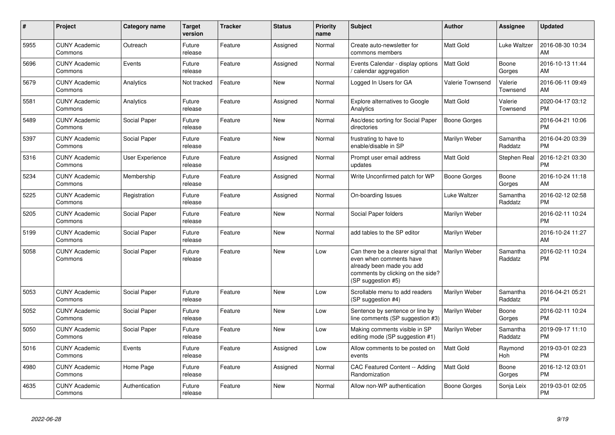| $\#$ | <b>Project</b>                  | Category name   | <b>Target</b><br>version | <b>Tracker</b> | <b>Status</b> | <b>Priority</b><br>name | <b>Subject</b>                                                                                                                                        | Author                  | Assignee              | <b>Updated</b>                |
|------|---------------------------------|-----------------|--------------------------|----------------|---------------|-------------------------|-------------------------------------------------------------------------------------------------------------------------------------------------------|-------------------------|-----------------------|-------------------------------|
| 5955 | <b>CUNY Academic</b><br>Commons | Outreach        | Future<br>release        | Feature        | Assigned      | Normal                  | Create auto-newsletter for<br>commons members                                                                                                         | <b>Matt Gold</b>        | Luke Waltzer          | 2016-08-30 10:34<br>AM        |
| 5696 | <b>CUNY Academic</b><br>Commons | Events          | Future<br>release        | Feature        | Assigned      | Normal                  | Events Calendar - display options<br>calendar aggregation /                                                                                           | <b>Matt Gold</b>        | Boone<br>Gorges       | 2016-10-13 11:44<br>AM        |
| 5679 | <b>CUNY Academic</b><br>Commons | Analytics       | Not tracked              | Feature        | <b>New</b>    | Normal                  | Logged In Users for GA                                                                                                                                | <b>Valerie Townsend</b> | Valerie<br>Townsend   | 2016-06-11 09:49<br>AM        |
| 5581 | <b>CUNY Academic</b><br>Commons | Analytics       | Future<br>release        | Feature        | Assigned      | Normal                  | Explore alternatives to Google<br>Analytics                                                                                                           | <b>Matt Gold</b>        | Valerie<br>Townsend   | 2020-04-17 03:12<br><b>PM</b> |
| 5489 | <b>CUNY Academic</b><br>Commons | Social Paper    | Future<br>release        | Feature        | <b>New</b>    | Normal                  | Asc/desc sorting for Social Paper<br>directories                                                                                                      | <b>Boone Gorges</b>     |                       | 2016-04-21 10:06<br><b>PM</b> |
| 5397 | <b>CUNY Academic</b><br>Commons | Social Paper    | Future<br>release        | Feature        | <b>New</b>    | Normal                  | frustrating to have to<br>enable/disable in SP                                                                                                        | Marilyn Weber           | Samantha<br>Raddatz   | 2016-04-20 03:39<br><b>PM</b> |
| 5316 | <b>CUNY Academic</b><br>Commons | User Experience | Future<br>release        | Feature        | Assigned      | Normal                  | Prompt user email address<br>updates                                                                                                                  | Matt Gold               | Stephen Real          | 2016-12-21 03:30<br><b>PM</b> |
| 5234 | <b>CUNY Academic</b><br>Commons | Membership      | Future<br>release        | Feature        | Assigned      | Normal                  | Write Unconfirmed patch for WP                                                                                                                        | <b>Boone Gorges</b>     | Boone<br>Gorges       | 2016-10-24 11:18<br>AM        |
| 5225 | <b>CUNY Academic</b><br>Commons | Registration    | Future<br>release        | Feature        | Assigned      | Normal                  | On-boarding Issues                                                                                                                                    | Luke Waltzer            | Samantha<br>Raddatz   | 2016-02-12 02:58<br><b>PM</b> |
| 5205 | <b>CUNY Academic</b><br>Commons | Social Paper    | Future<br>release        | Feature        | New           | Normal                  | Social Paper folders                                                                                                                                  | Marilyn Weber           |                       | 2016-02-11 10:24<br><b>PM</b> |
| 5199 | <b>CUNY Academic</b><br>Commons | Social Paper    | Future<br>release        | Feature        | <b>New</b>    | Normal                  | add tables to the SP editor                                                                                                                           | Marilyn Weber           |                       | 2016-10-24 11:27<br>AM        |
| 5058 | <b>CUNY Academic</b><br>Commons | Social Paper    | Future<br>release        | Feature        | <b>New</b>    | Low                     | Can there be a clearer signal that<br>even when comments have<br>already been made you add<br>comments by clicking on the side?<br>(SP suggestion #5) | Marilyn Weber           | Samantha<br>Raddatz   | 2016-02-11 10:24<br><b>PM</b> |
| 5053 | <b>CUNY Academic</b><br>Commons | Social Paper    | Future<br>release        | Feature        | <b>New</b>    | Low                     | Scrollable menu to add readers<br>(SP suggestion #4)                                                                                                  | Marilyn Weber           | Samantha<br>Raddatz   | 2016-04-21 05:21<br><b>PM</b> |
| 5052 | <b>CUNY Academic</b><br>Commons | Social Paper    | Future<br>release        | Feature        | <b>New</b>    | Low                     | Sentence by sentence or line by<br>line comments (SP suggestion #3)                                                                                   | Marilyn Weber           | Boone<br>Gorges       | 2016-02-11 10:24<br><b>PM</b> |
| 5050 | <b>CUNY Academic</b><br>Commons | Social Paper    | Future<br>release        | Feature        | <b>New</b>    | Low                     | Making comments visible in SP<br>editing mode (SP suggestion #1)                                                                                      | Marilyn Weber           | Samantha<br>Raddatz   | 2019-09-17 11:10<br><b>PM</b> |
| 5016 | <b>CUNY Academic</b><br>Commons | Events          | Future<br>release        | Feature        | Assigned      | Low                     | Allow comments to be posted on<br>events                                                                                                              | <b>Matt Gold</b>        | Raymond<br><b>Hoh</b> | 2019-03-01 02:23<br><b>PM</b> |
| 4980 | <b>CUNY Academic</b><br>Commons | Home Page       | Future<br>release        | Feature        | Assigned      | Normal                  | CAC Featured Content -- Adding<br>Randomization                                                                                                       | <b>Matt Gold</b>        | Boone<br>Gorges       | 2016-12-12 03:01<br><b>PM</b> |
| 4635 | <b>CUNY Academic</b><br>Commons | Authentication  | Future<br>release        | Feature        | <b>New</b>    | Normal                  | Allow non-WP authentication                                                                                                                           | Boone Gorges            | Sonja Leix            | 2019-03-01 02:05<br>PM        |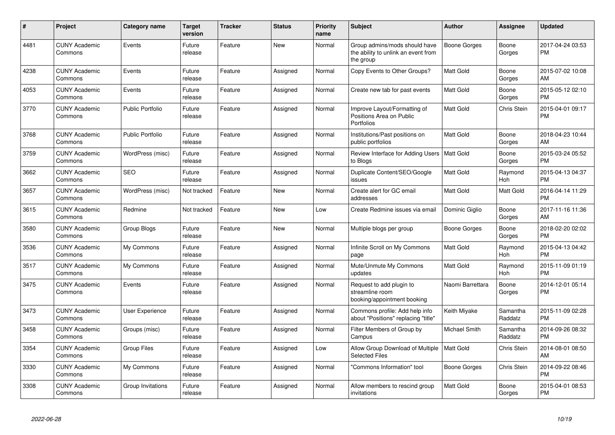| #    | <b>Project</b>                  | <b>Category name</b>    | <b>Target</b><br>version | Tracker | <b>Status</b> | Priority<br>name | Subject                                                                           | Author              | Assignee            | <b>Updated</b>                |
|------|---------------------------------|-------------------------|--------------------------|---------|---------------|------------------|-----------------------------------------------------------------------------------|---------------------|---------------------|-------------------------------|
| 4481 | <b>CUNY Academic</b><br>Commons | Events                  | Future<br>release        | Feature | <b>New</b>    | Normal           | Group admins/mods should have<br>the ability to unlink an event from<br>the group | Boone Gorges        | Boone<br>Gorges     | 2017-04-24 03:53<br><b>PM</b> |
| 4238 | <b>CUNY Academic</b><br>Commons | Events                  | Future<br>release        | Feature | Assigned      | Normal           | Copy Events to Other Groups?                                                      | Matt Gold           | Boone<br>Gorges     | 2015-07-02 10:08<br>AM        |
| 4053 | <b>CUNY Academic</b><br>Commons | Events                  | Future<br>release        | Feature | Assigned      | Normal           | Create new tab for past events                                                    | Matt Gold           | Boone<br>Gorges     | 2015-05-12 02:10<br><b>PM</b> |
| 3770 | <b>CUNY Academic</b><br>Commons | <b>Public Portfolio</b> | Future<br>release        | Feature | Assigned      | Normal           | Improve Layout/Formatting of<br>Positions Area on Public<br>Portfolios            | Matt Gold           | <b>Chris Stein</b>  | 2015-04-01 09:17<br><b>PM</b> |
| 3768 | <b>CUNY Academic</b><br>Commons | <b>Public Portfolio</b> | Future<br>release        | Feature | Assigned      | Normal           | Institutions/Past positions on<br>public portfolios                               | Matt Gold           | Boone<br>Gorges     | 2018-04-23 10:44<br>AM        |
| 3759 | <b>CUNY Academic</b><br>Commons | WordPress (misc)        | Future<br>release        | Feature | Assigned      | Normal           | Review Interface for Adding Users<br>to Blogs                                     | Matt Gold           | Boone<br>Gorges     | 2015-03-24 05:52<br><b>PM</b> |
| 3662 | <b>CUNY Academic</b><br>Commons | <b>SEO</b>              | Future<br>release        | Feature | Assigned      | Normal           | Duplicate Content/SEO/Google<br>issues                                            | Matt Gold           | Raymond<br>Hoh      | 2015-04-13 04:37<br><b>PM</b> |
| 3657 | <b>CUNY Academic</b><br>Commons | WordPress (misc)        | Not tracked              | Feature | New           | Normal           | Create alert for GC email<br>addresses                                            | Matt Gold           | Matt Gold           | 2016-04-14 11:29<br><b>PM</b> |
| 3615 | <b>CUNY Academic</b><br>Commons | Redmine                 | Not tracked              | Feature | New           | Low              | Create Redmine issues via email                                                   | Dominic Giglio      | Boone<br>Gorges     | 2017-11-16 11:36<br>AM        |
| 3580 | <b>CUNY Academic</b><br>Commons | Group Blogs             | Future<br>release        | Feature | New           | Normal           | Multiple blogs per group                                                          | Boone Gorges        | Boone<br>Gorges     | 2018-02-20 02:02<br><b>PM</b> |
| 3536 | <b>CUNY Academic</b><br>Commons | My Commons              | Future<br>release        | Feature | Assigned      | Normal           | Infinite Scroll on My Commons<br>page                                             | Matt Gold           | Raymond<br>Hoh      | 2015-04-13 04:42<br><b>PM</b> |
| 3517 | <b>CUNY Academic</b><br>Commons | My Commons              | Future<br>release        | Feature | Assigned      | Normal           | Mute/Unmute My Commons<br>updates                                                 | Matt Gold           | Raymond<br>Hoh      | 2015-11-09 01:19<br><b>PM</b> |
| 3475 | <b>CUNY Academic</b><br>Commons | Events                  | Future<br>release        | Feature | Assigned      | Normal           | Request to add plugin to<br>streamline room<br>booking/appointment booking        | Naomi Barrettara    | Boone<br>Gorges     | 2014-12-01 05:14<br><b>PM</b> |
| 3473 | <b>CUNY Academic</b><br>Commons | <b>User Experience</b>  | Future<br>release        | Feature | Assigned      | Normal           | Commons profile: Add help info<br>about "Positions" replacing "title"             | Keith Miyake        | Samantha<br>Raddatz | 2015-11-09 02:28<br><b>PM</b> |
| 3458 | <b>CUNY Academic</b><br>Commons | Groups (misc)           | Future<br>release        | Feature | Assigned      | Normal           | Filter Members of Group by<br>Campus                                              | Michael Smith       | Samantha<br>Raddatz | 2014-09-26 08:32<br><b>PM</b> |
| 3354 | <b>CUNY Academic</b><br>Commons | <b>Group Files</b>      | Future<br>release        | Feature | Assigned      | Low              | Allow Group Download of Multiple   Matt Gold<br><b>Selected Files</b>             |                     | Chris Stein         | 2014-08-01 08:50<br>AM        |
| 3330 | <b>CUNY Academic</b><br>Commons | My Commons              | Future<br>release        | Feature | Assigned      | Normal           | 'Commons Information" tool                                                        | <b>Boone Gorges</b> | Chris Stein         | 2014-09-22 08:46<br><b>PM</b> |
| 3308 | <b>CUNY Academic</b><br>Commons | Group Invitations       | Future<br>release        | Feature | Assigned      | Normal           | Allow members to rescind group<br>invitations                                     | Matt Gold           | Boone<br>Gorges     | 2015-04-01 08:53<br>PM        |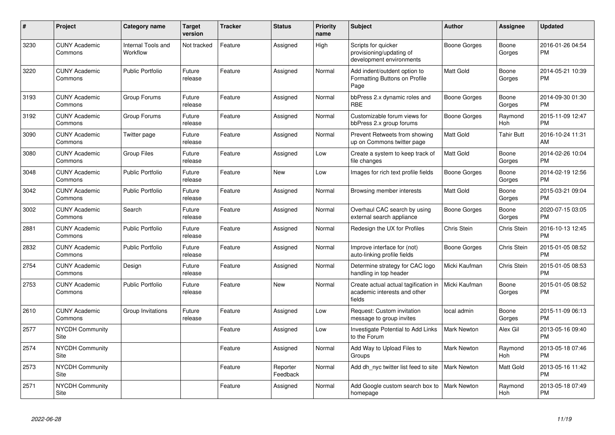| #    | <b>Project</b>                  | Category name                  | <b>Target</b><br>version | <b>Tracker</b> | <b>Status</b>        | Priority<br>name | <b>Subject</b>                                                                 | <b>Author</b>       | Assignee              | <b>Updated</b>                |
|------|---------------------------------|--------------------------------|--------------------------|----------------|----------------------|------------------|--------------------------------------------------------------------------------|---------------------|-----------------------|-------------------------------|
| 3230 | <b>CUNY Academic</b><br>Commons | Internal Tools and<br>Workflow | Not tracked              | Feature        | Assigned             | High             | Scripts for quicker<br>provisioning/updating of<br>development environments    | Boone Gorges        | Boone<br>Gorges       | 2016-01-26 04:54<br><b>PM</b> |
| 3220 | <b>CUNY Academic</b><br>Commons | <b>Public Portfolio</b>        | Future<br>release        | Feature        | Assigned             | Normal           | Add indent/outdent option to<br>Formatting Buttons on Profile<br>Page          | Matt Gold           | Boone<br>Gorges       | 2014-05-21 10:39<br><b>PM</b> |
| 3193 | <b>CUNY Academic</b><br>Commons | Group Forums                   | Future<br>release        | Feature        | Assigned             | Normal           | bbPress 2.x dynamic roles and<br>RBE                                           | Boone Gorges        | Boone<br>Gorges       | 2014-09-30 01:30<br><b>PM</b> |
| 3192 | <b>CUNY Academic</b><br>Commons | Group Forums                   | Future<br>release        | Feature        | Assigned             | Normal           | Customizable forum views for<br>bbPress 2.x group forums                       | Boone Gorges        | Raymond<br><b>Hoh</b> | 2015-11-09 12:47<br><b>PM</b> |
| 3090 | <b>CUNY Academic</b><br>Commons | Twitter page                   | Future<br>release        | Feature        | Assigned             | Normal           | Prevent Retweets from showing<br>up on Commons twitter page                    | Matt Gold           | <b>Tahir Butt</b>     | 2016-10-24 11:31<br>AM        |
| 3080 | <b>CUNY Academic</b><br>Commons | <b>Group Files</b>             | Future<br>release        | Feature        | Assigned             | Low              | Create a system to keep track of<br>file changes                               | Matt Gold           | Boone<br>Gorges       | 2014-02-26 10:04<br><b>PM</b> |
| 3048 | <b>CUNY Academic</b><br>Commons | <b>Public Portfolio</b>        | Future<br>release        | Feature        | <b>New</b>           | Low              | Images for rich text profile fields                                            | Boone Gorges        | Boone<br>Gorges       | 2014-02-19 12:56<br><b>PM</b> |
| 3042 | <b>CUNY Academic</b><br>Commons | <b>Public Portfolio</b>        | Future<br>release        | Feature        | Assigned             | Normal           | Browsing member interests                                                      | Matt Gold           | Boone<br>Gorges       | 2015-03-21 09:04<br><b>PM</b> |
| 3002 | <b>CUNY Academic</b><br>Commons | Search                         | Future<br>release        | Feature        | Assigned             | Normal           | Overhaul CAC search by using<br>external search appliance                      | <b>Boone Gorges</b> | Boone<br>Gorges       | 2020-07-15 03:05<br><b>PM</b> |
| 2881 | <b>CUNY Academic</b><br>Commons | <b>Public Portfolio</b>        | Future<br>release        | Feature        | Assigned             | Normal           | Redesign the UX for Profiles                                                   | <b>Chris Stein</b>  | Chris Stein           | 2016-10-13 12:45<br><b>PM</b> |
| 2832 | <b>CUNY Academic</b><br>Commons | <b>Public Portfolio</b>        | Future<br>release        | Feature        | Assigned             | Normal           | Improve interface for (not)<br>auto-linking profile fields                     | <b>Boone Gorges</b> | Chris Stein           | 2015-01-05 08:52<br><b>PM</b> |
| 2754 | <b>CUNY Academic</b><br>Commons | Design                         | Future<br>release        | Feature        | Assigned             | Normal           | Determine strategy for CAC logo<br>handling in top header                      | Micki Kaufman       | Chris Stein           | 2015-01-05 08:53<br><b>PM</b> |
| 2753 | <b>CUNY Academic</b><br>Commons | <b>Public Portfolio</b>        | Future<br>release        | Feature        | New                  | Normal           | Create actual actual tagification in<br>academic interests and other<br>fields | Micki Kaufman       | Boone<br>Gorges       | 2015-01-05 08:52<br><b>PM</b> |
| 2610 | <b>CUNY Academic</b><br>Commons | Group Invitations              | Future<br>release        | Feature        | Assigned             | Low              | Request: Custom invitation<br>message to group invites                         | local admin         | Boone<br>Gorges       | 2015-11-09 06:13<br><b>PM</b> |
| 2577 | <b>NYCDH Community</b><br>Site  |                                |                          | Feature        | Assigned             | Low              | Investigate Potential to Add Links<br>to the Forum                             | <b>Mark Newton</b>  | Alex Gil              | 2013-05-16 09:40<br><b>PM</b> |
| 2574 | <b>NYCDH Community</b><br>Site  |                                |                          | Feature        | Assigned             | Normal           | Add Way to Upload Files to<br>Groups                                           | Mark Newton         | Raymond<br><b>Hoh</b> | 2013-05-18 07:46<br><b>PM</b> |
| 2573 | <b>NYCDH Community</b><br>Site  |                                |                          | Feature        | Reporter<br>Feedback | Normal           | Add dh_nyc twitter list feed to site                                           | Mark Newton         | <b>Matt Gold</b>      | 2013-05-16 11:42<br><b>PM</b> |
| 2571 | <b>NYCDH Community</b><br>Site  |                                |                          | Feature        | Assigned             | Normal           | Add Google custom search box to<br>homepage                                    | Mark Newton         | Raymond<br>Hoh        | 2013-05-18 07:49<br><b>PM</b> |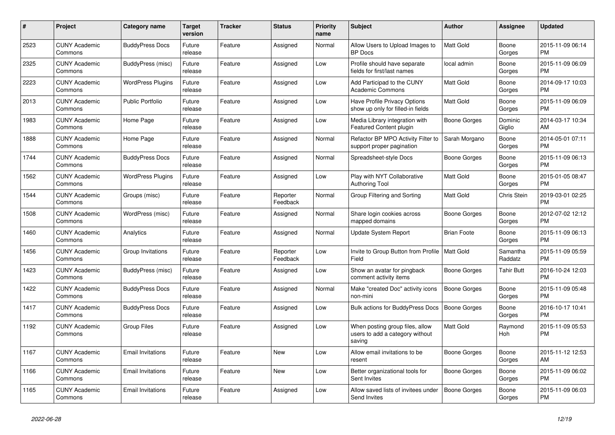| $\#$ | <b>Project</b>                  | Category name            | <b>Target</b><br>version | <b>Tracker</b> | <b>Status</b>        | Priority<br>name | <b>Subject</b>                                                               | Author              | Assignee            | <b>Updated</b>                |
|------|---------------------------------|--------------------------|--------------------------|----------------|----------------------|------------------|------------------------------------------------------------------------------|---------------------|---------------------|-------------------------------|
| 2523 | <b>CUNY Academic</b><br>Commons | <b>BuddyPress Docs</b>   | Future<br>release        | Feature        | Assigned             | Normal           | Allow Users to Upload Images to<br><b>BP</b> Docs                            | <b>Matt Gold</b>    | Boone<br>Gorges     | 2015-11-09 06:14<br><b>PM</b> |
| 2325 | <b>CUNY Academic</b><br>Commons | BuddyPress (misc)        | Future<br>release        | Feature        | Assigned             | Low              | Profile should have separate<br>fields for first/last names                  | local admin         | Boone<br>Gorges     | 2015-11-09 06:09<br><b>PM</b> |
| 2223 | <b>CUNY Academic</b><br>Commons | WordPress Plugins        | Future<br>release        | Feature        | Assigned             | Low              | Add Participad to the CUNY<br><b>Academic Commons</b>                        | Matt Gold           | Boone<br>Gorges     | 2014-09-17 10:03<br><b>PM</b> |
| 2013 | <b>CUNY Academic</b><br>Commons | <b>Public Portfolio</b>  | Future<br>release        | Feature        | Assigned             | Low              | Have Profile Privacy Options<br>show up only for filled-in fields            | Matt Gold           | Boone<br>Gorges     | 2015-11-09 06:09<br><b>PM</b> |
| 1983 | <b>CUNY Academic</b><br>Commons | Home Page                | Future<br>release        | Feature        | Assigned             | Low              | Media Library integration with<br>Featured Content plugin                    | Boone Gorges        | Dominic<br>Giglio   | 2014-03-17 10:34<br>AM        |
| 1888 | <b>CUNY Academic</b><br>Commons | Home Page                | Future<br>release        | Feature        | Assigned             | Normal           | Refactor BP MPO Activity Filter to<br>support proper pagination              | Sarah Morgano       | Boone<br>Gorges     | 2014-05-01 07:11<br><b>PM</b> |
| 1744 | <b>CUNY Academic</b><br>Commons | <b>BuddyPress Docs</b>   | Future<br>release        | Feature        | Assigned             | Normal           | Spreadsheet-style Docs                                                       | Boone Gorges        | Boone<br>Gorges     | 2015-11-09 06:13<br><b>PM</b> |
| 1562 | <b>CUNY Academic</b><br>Commons | <b>WordPress Plugins</b> | Future<br>release        | Feature        | Assigned             | Low              | Play with NYT Collaborative<br><b>Authoring Tool</b>                         | <b>Matt Gold</b>    | Boone<br>Gorges     | 2015-01-05 08:47<br><b>PM</b> |
| 1544 | <b>CUNY Academic</b><br>Commons | Groups (misc)            | Future<br>release        | Feature        | Reporter<br>Feedback | Normal           | Group Filtering and Sorting                                                  | Matt Gold           | Chris Stein         | 2019-03-01 02:25<br><b>PM</b> |
| 1508 | <b>CUNY Academic</b><br>Commons | WordPress (misc)         | Future<br>release        | Feature        | Assigned             | Normal           | Share login cookies across<br>mapped domains                                 | Boone Gorges        | Boone<br>Gorges     | 2012-07-02 12:12<br><b>PM</b> |
| 1460 | <b>CUNY Academic</b><br>Commons | Analytics                | Future<br>release        | Feature        | Assigned             | Normal           | Update System Report                                                         | <b>Brian Foote</b>  | Boone<br>Gorges     | 2015-11-09 06:13<br><b>PM</b> |
| 1456 | <b>CUNY Academic</b><br>Commons | Group Invitations        | Future<br>release        | Feature        | Reporter<br>Feedback | Low              | Invite to Group Button from Profile   Matt Gold<br>Field                     |                     | Samantha<br>Raddatz | 2015-11-09 05:59<br><b>PM</b> |
| 1423 | <b>CUNY Academic</b><br>Commons | BuddyPress (misc)        | Future<br>release        | Feature        | Assigned             | Low              | Show an avatar for pingback<br>comment activity items                        | Boone Gorges        | <b>Tahir Butt</b>   | 2016-10-24 12:03<br><b>PM</b> |
| 1422 | <b>CUNY Academic</b><br>Commons | <b>BuddyPress Docs</b>   | Future<br>release        | Feature        | Assigned             | Normal           | Make "created Doc" activity icons<br>non-mini                                | Boone Gorges        | Boone<br>Gorges     | 2015-11-09 05:48<br><b>PM</b> |
| 1417 | <b>CUNY Academic</b><br>Commons | <b>BuddyPress Docs</b>   | Future<br>release        | Feature        | Assigned             | Low              | <b>Bulk actions for BuddyPress Docs</b>                                      | <b>Boone Gorges</b> | Boone<br>Gorges     | 2016-10-17 10:41<br><b>PM</b> |
| 1192 | <b>CUNY Academic</b><br>Commons | Group Files              | Future<br>release        | Feature        | Assigned             | Low              | When posting group files, allow<br>users to add a category without<br>saving | <b>Matt Gold</b>    | Raymond<br>Hoh      | 2015-11-09 05:53<br><b>PM</b> |
| 1167 | <b>CUNY Academic</b><br>Commons | <b>Email Invitations</b> | Future<br>release        | Feature        | <b>New</b>           | Low              | Allow email invitations to be<br>resent                                      | Boone Gorges        | Boone<br>Gorges     | 2015-11-12 12:53<br>AM        |
| 1166 | <b>CUNY Academic</b><br>Commons | <b>Email Invitations</b> | Future<br>release        | Feature        | <b>New</b>           | Low              | Better organizational tools for<br>Sent Invites                              | Boone Gorges        | Boone<br>Gorges     | 2015-11-09 06:02<br><b>PM</b> |
| 1165 | <b>CUNY Academic</b><br>Commons | <b>Email Invitations</b> | Future<br>release        | Feature        | Assigned             | Low              | Allow saved lists of invitees under<br>Send Invites                          | <b>Boone Gorges</b> | Boone<br>Gorges     | 2015-11-09 06:03<br><b>PM</b> |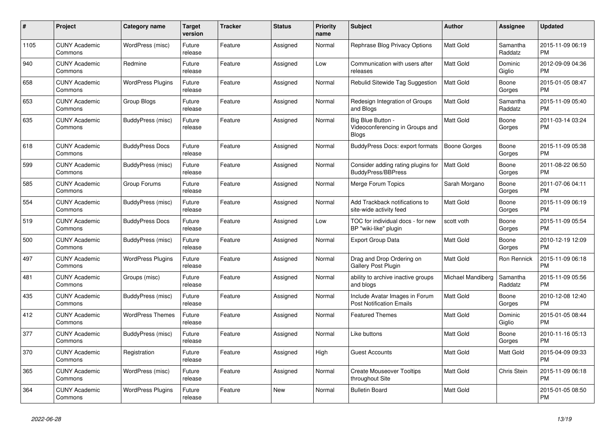| $\pmb{\#}$ | <b>Project</b>                  | Category name            | <b>Target</b><br>version | Tracker | <b>Status</b> | <b>Priority</b><br>name | <b>Subject</b>                                                       | <b>Author</b>       | <b>Assignee</b>     | <b>Updated</b>                |
|------------|---------------------------------|--------------------------|--------------------------|---------|---------------|-------------------------|----------------------------------------------------------------------|---------------------|---------------------|-------------------------------|
| 1105       | <b>CUNY Academic</b><br>Commons | WordPress (misc)         | Future<br>release        | Feature | Assigned      | Normal                  | Rephrase Blog Privacy Options                                        | <b>Matt Gold</b>    | Samantha<br>Raddatz | 2015-11-09 06:19<br><b>PM</b> |
| 940        | <b>CUNY Academic</b><br>Commons | Redmine                  | Future<br>release        | Feature | Assigned      | Low                     | Communication with users after<br>releases                           | <b>Matt Gold</b>    | Dominic<br>Giglio   | 2012-09-09 04:36<br><b>PM</b> |
| 658        | <b>CUNY Academic</b><br>Commons | WordPress Plugins        | Future<br>release        | Feature | Assigned      | Normal                  | Rebulid Sitewide Tag Suggestion                                      | Matt Gold           | Boone<br>Gorges     | 2015-01-05 08:47<br><b>PM</b> |
| 653        | <b>CUNY Academic</b><br>Commons | Group Blogs              | Future<br>release        | Feature | Assigned      | Normal                  | Redesign Integration of Groups<br>and Blogs                          | Matt Gold           | Samantha<br>Raddatz | 2015-11-09 05:40<br><b>PM</b> |
| 635        | <b>CUNY Academic</b><br>Commons | BuddyPress (misc)        | Future<br>release        | Feature | Assigned      | Normal                  | Big Blue Button -<br>Videoconferencing in Groups and<br><b>Blogs</b> | <b>Matt Gold</b>    | Boone<br>Gorges     | 2011-03-14 03:24<br><b>PM</b> |
| 618        | <b>CUNY Academic</b><br>Commons | <b>BuddyPress Docs</b>   | Future<br>release        | Feature | Assigned      | Normal                  | BuddyPress Docs: export formats                                      | <b>Boone Gorges</b> | Boone<br>Gorges     | 2015-11-09 05:38<br><b>PM</b> |
| 599        | <b>CUNY Academic</b><br>Commons | BuddyPress (misc)        | Future<br>release        | Feature | Assigned      | Normal                  | Consider adding rating plugins for<br><b>BuddyPress/BBPress</b>      | <b>Matt Gold</b>    | Boone<br>Gorges     | 2011-08-22 06:50<br><b>PM</b> |
| 585        | <b>CUNY Academic</b><br>Commons | Group Forums             | Future<br>release        | Feature | Assigned      | Normal                  | Merge Forum Topics                                                   | Sarah Morgano       | Boone<br>Gorges     | 2011-07-06 04:11<br><b>PM</b> |
| 554        | <b>CUNY Academic</b><br>Commons | BuddyPress (misc)        | Future<br>release        | Feature | Assigned      | Normal                  | Add Trackback notifications to<br>site-wide activity feed            | <b>Matt Gold</b>    | Boone<br>Gorges     | 2015-11-09 06:19<br><b>PM</b> |
| 519        | <b>CUNY Academic</b><br>Commons | <b>BuddyPress Docs</b>   | Future<br>release        | Feature | Assigned      | Low                     | TOC for individual docs - for new<br>BP "wiki-like" plugin           | scott voth          | Boone<br>Gorges     | 2015-11-09 05:54<br><b>PM</b> |
| 500        | <b>CUNY Academic</b><br>Commons | BuddyPress (misc)        | Future<br>release        | Feature | Assigned      | Normal                  | Export Group Data                                                    | Matt Gold           | Boone<br>Gorges     | 2010-12-19 12:09<br><b>PM</b> |
| 497        | <b>CUNY Academic</b><br>Commons | <b>WordPress Plugins</b> | Future<br>release        | Feature | Assigned      | Normal                  | Drag and Drop Ordering on<br><b>Gallery Post Plugin</b>              | Matt Gold           | Ron Rennick         | 2015-11-09 06:18<br><b>PM</b> |
| 481        | <b>CUNY Academic</b><br>Commons | Groups (misc)            | Future<br>release        | Feature | Assigned      | Normal                  | ability to archive inactive groups<br>and blogs                      | Michael Mandiberg   | Samantha<br>Raddatz | 2015-11-09 05:56<br><b>PM</b> |
| 435        | <b>CUNY Academic</b><br>Commons | BuddyPress (misc)        | Future<br>release        | Feature | Assigned      | Normal                  | Include Avatar Images in Forum<br><b>Post Notification Emails</b>    | Matt Gold           | Boone<br>Gorges     | 2010-12-08 12:40<br><b>PM</b> |
| 412        | <b>CUNY Academic</b><br>Commons | <b>WordPress Themes</b>  | Future<br>release        | Feature | Assigned      | Normal                  | <b>Featured Themes</b>                                               | <b>Matt Gold</b>    | Dominic<br>Giglio   | 2015-01-05 08:44<br><b>PM</b> |
| 377        | <b>CUNY Academic</b><br>Commons | BuddyPress (misc)        | Future<br>release        | Feature | Assigned      | Normal                  | Like buttons                                                         | <b>Matt Gold</b>    | Boone<br>Gorges     | 2010-11-16 05:13<br><b>PM</b> |
| 370        | <b>CUNY Academic</b><br>Commons | Registration             | Future<br>release        | Feature | Assigned      | High                    | <b>Guest Accounts</b>                                                | Matt Gold           | <b>Matt Gold</b>    | 2015-04-09 09:33<br><b>PM</b> |
| 365        | <b>CUNY Academic</b><br>Commons | WordPress (misc)         | Future<br>release        | Feature | Assigned      | Normal                  | <b>Create Mouseover Tooltips</b><br>throughout Site                  | <b>Matt Gold</b>    | Chris Stein         | 2015-11-09 06:18<br><b>PM</b> |
| 364        | <b>CUNY Academic</b><br>Commons | <b>WordPress Plugins</b> | Future<br>release        | Feature | <b>New</b>    | Normal                  | <b>Bulletin Board</b>                                                | <b>Matt Gold</b>    |                     | 2015-01-05 08:50<br><b>PM</b> |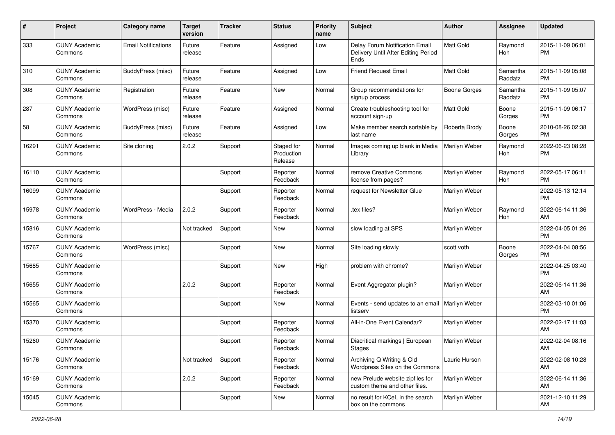| #     | Project                         | <b>Category name</b>       | Target<br>version | <b>Tracker</b> | <b>Status</b>                       | <b>Priority</b><br>name | Subject                                                                       | Author              | <b>Assignee</b>     | <b>Updated</b>                |
|-------|---------------------------------|----------------------------|-------------------|----------------|-------------------------------------|-------------------------|-------------------------------------------------------------------------------|---------------------|---------------------|-------------------------------|
| 333   | <b>CUNY Academic</b><br>Commons | <b>Email Notifications</b> | Future<br>release | Feature        | Assigned                            | Low                     | Delay Forum Notification Email<br>Delivery Until After Editing Period<br>Ends | Matt Gold           | Raymond<br>Hoh      | 2015-11-09 06:01<br><b>PM</b> |
| 310   | <b>CUNY Academic</b><br>Commons | BuddyPress (misc)          | Future<br>release | Feature        | Assigned                            | Low                     | <b>Friend Request Email</b>                                                   | <b>Matt Gold</b>    | Samantha<br>Raddatz | 2015-11-09 05:08<br><b>PM</b> |
| 308   | <b>CUNY Academic</b><br>Commons | Registration               | Future<br>release | Feature        | New                                 | Normal                  | Group recommendations for<br>signup process                                   | <b>Boone Gorges</b> | Samantha<br>Raddatz | 2015-11-09 05:07<br><b>PM</b> |
| 287   | <b>CUNY Academic</b><br>Commons | WordPress (misc)           | Future<br>release | Feature        | Assigned                            | Normal                  | Create troubleshooting tool for<br>account sign-up                            | Matt Gold           | Boone<br>Gorges     | 2015-11-09 06:17<br><b>PM</b> |
| 58    | <b>CUNY Academic</b><br>Commons | BuddyPress (misc)          | Future<br>release | Feature        | Assigned                            | Low                     | Make member search sortable by<br>last name                                   | Roberta Brody       | Boone<br>Gorges     | 2010-08-26 02:38<br><b>PM</b> |
| 16291 | <b>CUNY Academic</b><br>Commons | Site cloning               | 2.0.2             | Support        | Staged for<br>Production<br>Release | Normal                  | Images coming up blank in Media<br>Library                                    | Marilyn Weber       | Raymond<br>Hoh      | 2022-06-23 08:28<br><b>PM</b> |
| 16110 | <b>CUNY Academic</b><br>Commons |                            |                   | Support        | Reporter<br>Feedback                | Normal                  | remove Creative Commons<br>license from pages?                                | Marilyn Weber       | Raymond<br>Hoh      | 2022-05-17 06:11<br><b>PM</b> |
| 16099 | <b>CUNY Academic</b><br>Commons |                            |                   | Support        | Reporter<br>Feedback                | Normal                  | request for Newsletter Glue                                                   | Marilyn Weber       |                     | 2022-05-13 12:14<br><b>PM</b> |
| 15978 | <b>CUNY Academic</b><br>Commons | WordPress - Media          | 2.0.2             | Support        | Reporter<br>Feedback                | Normal                  | tex files?                                                                    | Marilyn Weber       | Raymond<br>Hoh      | 2022-06-14 11:36<br>AM        |
| 15816 | <b>CUNY Academic</b><br>Commons |                            | Not tracked       | Support        | New                                 | Normal                  | slow loading at SPS                                                           | Marilyn Weber       |                     | 2022-04-05 01:26<br><b>PM</b> |
| 15767 | <b>CUNY Academic</b><br>Commons | WordPress (misc)           |                   | Support        | New                                 | Normal                  | Site loading slowly                                                           | scott voth          | Boone<br>Gorges     | 2022-04-04 08:56<br><b>PM</b> |
| 15685 | <b>CUNY Academic</b><br>Commons |                            |                   | Support        | New                                 | High                    | problem with chrome?                                                          | Marilyn Weber       |                     | 2022-04-25 03:40<br>PM        |
| 15655 | <b>CUNY Academic</b><br>Commons |                            | 2.0.2             | Support        | Reporter<br>Feedback                | Normal                  | Event Aggregator plugin?                                                      | Marilyn Weber       |                     | 2022-06-14 11:36<br>AM        |
| 15565 | <b>CUNY Academic</b><br>Commons |                            |                   | Support        | New                                 | Normal                  | Events - send updates to an email   Marilyn Weber<br>listserv                 |                     |                     | 2022-03-10 01:06<br><b>PM</b> |
| 15370 | <b>CUNY Academic</b><br>Commons |                            |                   | Support        | Reporter<br>Feedback                | Normal                  | All-in-One Event Calendar?                                                    | Marilyn Weber       |                     | 2022-02-17 11:03<br>AM        |
| 15260 | <b>CUNY Academic</b><br>Commons |                            |                   | Support        | Reporter<br>Feedback                | Normal                  | Diacritical markings   European<br>Stages                                     | Marilyn Weber       |                     | 2022-02-04 08:16<br>AM        |
| 15176 | <b>CUNY Academic</b><br>Commons |                            | Not tracked       | Support        | Reporter<br>Feedback                | Normal                  | Archiving Q Writing & Old<br>Wordpress Sites on the Commons                   | Laurie Hurson       |                     | 2022-02-08 10:28<br>AM        |
| 15169 | <b>CUNY Academic</b><br>Commons |                            | 2.0.2             | Support        | Reporter<br>Feedback                | Normal                  | new Prelude website zipfiles for<br>custom theme and other files.             | Marilyn Weber       |                     | 2022-06-14 11:36<br>AM        |
| 15045 | <b>CUNY Academic</b><br>Commons |                            |                   | Support        | New                                 | Normal                  | no result for KCeL in the search<br>box on the commons                        | Marilyn Weber       |                     | 2021-12-10 11:29<br>AM        |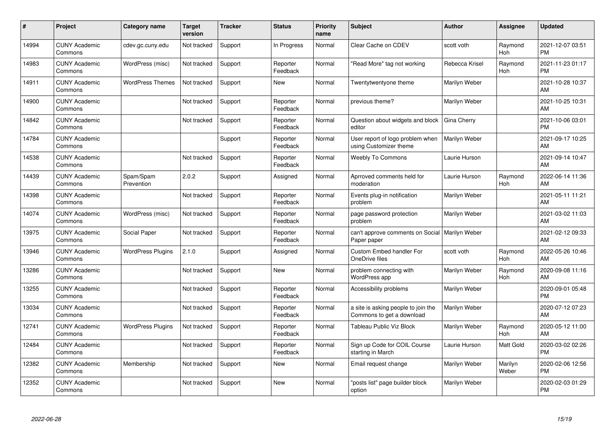| #     | Project                         | <b>Category name</b>     | Target<br>version | <b>Tracker</b> | <b>Status</b>        | <b>Priority</b><br>name | <b>Subject</b>                                                   | <b>Author</b>        | <b>Assignee</b>       | <b>Updated</b>                |
|-------|---------------------------------|--------------------------|-------------------|----------------|----------------------|-------------------------|------------------------------------------------------------------|----------------------|-----------------------|-------------------------------|
| 14994 | <b>CUNY Academic</b><br>Commons | cdev.gc.cuny.edu         | Not tracked       | Support        | In Progress          | Normal                  | Clear Cache on CDEV                                              | scott voth           | Raymond<br>Hoh        | 2021-12-07 03:51<br><b>PM</b> |
| 14983 | <b>CUNY Academic</b><br>Commons | WordPress (misc)         | Not tracked       | Support        | Reporter<br>Feedback | Normal                  | 'Read More" tag not working                                      | Rebecca Krisel       | Raymond<br>Hoh        | 2021-11-23 01:17<br><b>PM</b> |
| 14911 | <b>CUNY Academic</b><br>Commons | <b>WordPress Themes</b>  | Not tracked       | Support        | <b>New</b>           | Normal                  | Twentytwentyone theme                                            | Marilyn Weber        |                       | 2021-10-28 10:37<br>AM        |
| 14900 | <b>CUNY Academic</b><br>Commons |                          | Not tracked       | Support        | Reporter<br>Feedback | Normal                  | previous theme?                                                  | Marilyn Weber        |                       | 2021-10-25 10:31<br>AM        |
| 14842 | <b>CUNY Academic</b><br>Commons |                          | Not tracked       | Support        | Reporter<br>Feedback | Normal                  | Question about widgets and block<br>editor                       | Gina Cherry          |                       | 2021-10-06 03:01<br><b>PM</b> |
| 14784 | <b>CUNY Academic</b><br>Commons |                          |                   | Support        | Reporter<br>Feedback | Normal                  | User report of logo problem when<br>using Customizer theme       | Marilyn Weber        |                       | 2021-09-17 10:25<br>AM        |
| 14538 | <b>CUNY Academic</b><br>Commons |                          | Not tracked       | Support        | Reporter<br>Feedback | Normal                  | <b>Weebly To Commons</b>                                         | Laurie Hurson        |                       | 2021-09-14 10:47<br>AM        |
| 14439 | <b>CUNY Academic</b><br>Commons | Spam/Spam<br>Prevention  | 2.0.2             | Support        | Assigned             | Normal                  | Aprroved comments held for<br>moderation                         | Laurie Hurson        | Raymond<br>Hoh        | 2022-06-14 11:36<br>AM        |
| 14398 | <b>CUNY Academic</b><br>Commons |                          | Not tracked       | Support        | Reporter<br>Feedback | Normal                  | Events plug-in notification<br>problem                           | Marilyn Weber        |                       | 2021-05-11 11:21<br>AM        |
| 14074 | <b>CUNY Academic</b><br>Commons | WordPress (misc)         | Not tracked       | Support        | Reporter<br>Feedback | Normal                  | page password protection<br>problem                              | Marilyn Weber        |                       | 2021-03-02 11:03<br>AM        |
| 13975 | <b>CUNY Academic</b><br>Commons | Social Paper             | Not tracked       | Support        | Reporter<br>Feedback | Normal                  | can't approve comments on Social  <br>Paper paper                | <b>Marilyn Weber</b> |                       | 2021-02-12 09:33<br>AM        |
| 13946 | <b>CUNY Academic</b><br>Commons | <b>WordPress Plugins</b> | 2.1.0             | Support        | Assigned             | Normal                  | Custom Embed handler For<br>OneDrive files                       | scott voth           | Raymond<br>Hoh        | 2022-05-26 10:46<br>AM        |
| 13286 | <b>CUNY Academic</b><br>Commons |                          | Not tracked       | Support        | New                  | Normal                  | problem connecting with<br>WordPress app                         | Marilyn Weber        | Raymond<br><b>Hoh</b> | 2020-09-08 11:16<br>AM        |
| 13255 | <b>CUNY Academic</b><br>Commons |                          | Not tracked       | Support        | Reporter<br>Feedback | Normal                  | Accessibility problems                                           | Marilyn Weber        |                       | 2020-09-01 05:48<br><b>PM</b> |
| 13034 | <b>CUNY Academic</b><br>Commons |                          | Not tracked       | Support        | Reporter<br>Feedback | Normal                  | a site is asking people to join the<br>Commons to get a download | Marilyn Weber        |                       | 2020-07-12 07:23<br>AM        |
| 12741 | <b>CUNY Academic</b><br>Commons | <b>WordPress Plugins</b> | Not tracked       | Support        | Reporter<br>Feedback | Normal                  | Tableau Public Viz Block                                         | Marilyn Weber        | Raymond<br>Hoh        | 2020-05-12 11:00<br>AM        |
| 12484 | <b>CUNY Academic</b><br>Commons |                          | Not tracked       | Support        | Reporter<br>Feedback | Normal                  | Sign up Code for COIL Course<br>starting in March                | Laurie Hurson        | <b>Matt Gold</b>      | 2020-03-02 02:26<br><b>PM</b> |
| 12382 | <b>CUNY Academic</b><br>Commons | Membership               | Not tracked       | Support        | <b>New</b>           | Normal                  | Email request change                                             | Marilyn Weber        | Marilyn<br>Weber      | 2020-02-06 12:56<br><b>PM</b> |
| 12352 | <b>CUNY Academic</b><br>Commons |                          | Not tracked       | Support        | <b>New</b>           | Normal                  | "posts list" page builder block<br>option                        | Marilyn Weber        |                       | 2020-02-03 01:29<br>PM        |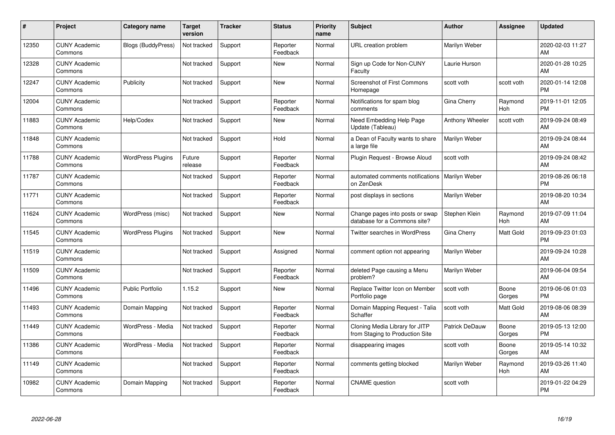| #     | Project                         | <b>Category name</b>      | Target<br>version | <b>Tracker</b> | <b>Status</b>        | <b>Priority</b><br>name | <b>Subject</b>                                                    | <b>Author</b>   | <b>Assignee</b>       | <b>Updated</b>                |
|-------|---------------------------------|---------------------------|-------------------|----------------|----------------------|-------------------------|-------------------------------------------------------------------|-----------------|-----------------------|-------------------------------|
| 12350 | <b>CUNY Academic</b><br>Commons | <b>Blogs (BuddyPress)</b> | Not tracked       | Support        | Reporter<br>Feedback | Normal                  | <b>URL</b> creation problem                                       | Marilyn Weber   |                       | 2020-02-03 11:27<br>AM        |
| 12328 | <b>CUNY Academic</b><br>Commons |                           | Not tracked       | Support        | <b>New</b>           | Normal                  | Sign up Code for Non-CUNY<br>Faculty                              | Laurie Hurson   |                       | 2020-01-28 10:25<br>AM        |
| 12247 | <b>CUNY Academic</b><br>Commons | Publicity                 | Not tracked       | Support        | New                  | Normal                  | <b>Screenshot of First Commons</b><br>Homepage                    | scott voth      | scott voth            | 2020-01-14 12:08<br><b>PM</b> |
| 12004 | <b>CUNY Academic</b><br>Commons |                           | Not tracked       | Support        | Reporter<br>Feedback | Normal                  | Notifications for spam blog<br>comments                           | Gina Cherry     | Raymond<br><b>Hoh</b> | 2019-11-01 12:05<br><b>PM</b> |
| 11883 | <b>CUNY Academic</b><br>Commons | Help/Codex                | Not tracked       | Support        | <b>New</b>           | Normal                  | Need Embedding Help Page<br>Update (Tableau)                      | Anthony Wheeler | scott voth            | 2019-09-24 08:49<br>AM        |
| 11848 | <b>CUNY Academic</b><br>Commons |                           | Not tracked       | Support        | Hold                 | Normal                  | a Dean of Faculty wants to share<br>a large file                  | Marilyn Weber   |                       | 2019-09-24 08:44<br>AM        |
| 11788 | <b>CUNY Academic</b><br>Commons | <b>WordPress Plugins</b>  | Future<br>release | Support        | Reporter<br>Feedback | Normal                  | Plugin Request - Browse Aloud                                     | scott voth      |                       | 2019-09-24 08:42<br>AM        |
| 11787 | <b>CUNY Academic</b><br>Commons |                           | Not tracked       | Support        | Reporter<br>Feedback | Normal                  | automated comments notifications<br>on ZenDesk                    | Marilyn Weber   |                       | 2019-08-26 06:18<br><b>PM</b> |
| 11771 | <b>CUNY Academic</b><br>Commons |                           | Not tracked       | Support        | Reporter<br>Feedback | Normal                  | post displays in sections                                         | Marilyn Weber   |                       | 2019-08-20 10:34<br>AM        |
| 11624 | <b>CUNY Academic</b><br>Commons | WordPress (misc)          | Not tracked       | Support        | <b>New</b>           | Normal                  | Change pages into posts or swap<br>database for a Commons site?   | Stephen Klein   | Raymond<br>Hoh        | 2019-07-09 11:04<br>AM        |
| 11545 | <b>CUNY Academic</b><br>Commons | <b>WordPress Plugins</b>  | Not tracked       | Support        | New                  | Normal                  | Twitter searches in WordPress                                     | Gina Cherry     | Matt Gold             | 2019-09-23 01:03<br><b>PM</b> |
| 11519 | <b>CUNY Academic</b><br>Commons |                           | Not tracked       | Support        | Assigned             | Normal                  | comment option not appearing                                      | Marilyn Weber   |                       | 2019-09-24 10:28<br>AM        |
| 11509 | <b>CUNY Academic</b><br>Commons |                           | Not tracked       | Support        | Reporter<br>Feedback | Normal                  | deleted Page causing a Menu<br>problem?                           | Marilyn Weber   |                       | 2019-06-04 09:54<br>AM        |
| 11496 | <b>CUNY Academic</b><br>Commons | <b>Public Portfolio</b>   | 1.15.2            | Support        | <b>New</b>           | Normal                  | Replace Twitter Icon on Member<br>Portfolio page                  | scott voth      | Boone<br>Gorges       | 2019-06-06 01:03<br><b>PM</b> |
| 11493 | <b>CUNY Academic</b><br>Commons | Domain Mapping            | Not tracked       | Support        | Reporter<br>Feedback | Normal                  | Domain Mapping Request - Talia<br>Schaffer                        | scott voth      | Matt Gold             | 2019-08-06 08:39<br>AM        |
| 11449 | <b>CUNY Academic</b><br>Commons | WordPress - Media         | Not tracked       | Support        | Reporter<br>Feedback | Normal                  | Cloning Media Library for JITP<br>from Staging to Production Site | Patrick DeDauw  | Boone<br>Gorges       | 2019-05-13 12:00<br><b>PM</b> |
| 11386 | <b>CUNY Academic</b><br>Commons | WordPress - Media         | Not tracked       | Support        | Reporter<br>Feedback | Normal                  | disappearing images                                               | scott voth      | Boone<br>Gorges       | 2019-05-14 10:32<br>AM        |
| 11149 | <b>CUNY Academic</b><br>Commons |                           | Not tracked       | Support        | Reporter<br>Feedback | Normal                  | comments getting blocked                                          | Marilyn Weber   | Raymond<br>Hoh        | 2019-03-26 11:40<br>AM        |
| 10982 | <b>CUNY Academic</b><br>Commons | Domain Mapping            | Not tracked       | Support        | Reporter<br>Feedback | Normal                  | <b>CNAME</b> question                                             | scott voth      |                       | 2019-01-22 04:29<br>PM        |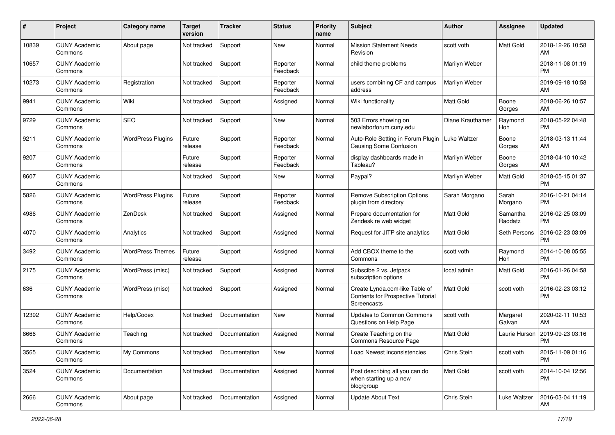| #     | Project                         | <b>Category name</b>     | <b>Target</b><br>version | <b>Tracker</b> | <b>Status</b>        | <b>Priority</b><br>name | Subject                                                                            | Author           | <b>Assignee</b>     | <b>Updated</b>                |
|-------|---------------------------------|--------------------------|--------------------------|----------------|----------------------|-------------------------|------------------------------------------------------------------------------------|------------------|---------------------|-------------------------------|
| 10839 | <b>CUNY Academic</b><br>Commons | About page               | Not tracked              | Support        | <b>New</b>           | Normal                  | <b>Mission Statement Needs</b><br>Revision                                         | scott voth       | Matt Gold           | 2018-12-26 10:58<br>AM        |
| 10657 | <b>CUNY Academic</b><br>Commons |                          | Not tracked              | Support        | Reporter<br>Feedback | Normal                  | child theme problems                                                               | Marilyn Weber    |                     | 2018-11-08 01:19<br><b>PM</b> |
| 10273 | <b>CUNY Academic</b><br>Commons | Registration             | Not tracked              | Support        | Reporter<br>Feedback | Normal                  | users combining CF and campus<br>address                                           | Marilyn Weber    |                     | 2019-09-18 10:58<br>AM        |
| 9941  | <b>CUNY Academic</b><br>Commons | Wiki                     | Not tracked              | Support        | Assigned             | Normal                  | Wiki functionality                                                                 | <b>Matt Gold</b> | Boone<br>Gorges     | 2018-06-26 10:57<br>AM        |
| 9729  | <b>CUNY Academic</b><br>Commons | <b>SEO</b>               | Not tracked              | Support        | <b>New</b>           | Normal                  | 503 Errors showing on<br>newlaborforum.cuny.edu                                    | Diane Krauthamer | Raymond<br>Hoh      | 2018-05-22 04:48<br><b>PM</b> |
| 9211  | <b>CUNY Academic</b><br>Commons | <b>WordPress Plugins</b> | Future<br>release        | Support        | Reporter<br>Feedback | Normal                  | Auto-Role Setting in Forum Plugin<br><b>Causing Some Confusion</b>                 | Luke Waltzer     | Boone<br>Gorges     | 2018-03-13 11:44<br>AM        |
| 9207  | <b>CUNY Academic</b><br>Commons |                          | Future<br>release        | Support        | Reporter<br>Feedback | Normal                  | display dashboards made in<br>Tableau?                                             | Marilyn Weber    | Boone<br>Gorges     | 2018-04-10 10:42<br>AM        |
| 8607  | <b>CUNY Academic</b><br>Commons |                          | Not tracked              | Support        | <b>New</b>           | Normal                  | Paypal?                                                                            | Marilyn Weber    | Matt Gold           | 2018-05-15 01:37<br><b>PM</b> |
| 5826  | <b>CUNY Academic</b><br>Commons | <b>WordPress Plugins</b> | Future<br>release        | Support        | Reporter<br>Feedback | Normal                  | <b>Remove Subscription Options</b><br>plugin from directory                        | Sarah Morgano    | Sarah<br>Morgano    | 2016-10-21 04:14<br><b>PM</b> |
| 4986  | <b>CUNY Academic</b><br>Commons | ZenDesk                  | Not tracked              | Support        | Assigned             | Normal                  | Prepare documentation for<br>Zendesk re web widget                                 | Matt Gold        | Samantha<br>Raddatz | 2016-02-25 03:09<br><b>PM</b> |
| 4070  | <b>CUNY Academic</b><br>Commons | Analytics                | Not tracked              | Support        | Assigned             | Normal                  | Request for JITP site analytics                                                    | <b>Matt Gold</b> | Seth Persons        | 2016-02-23 03:09<br><b>PM</b> |
| 3492  | <b>CUNY Academic</b><br>Commons | <b>WordPress Themes</b>  | Future<br>release        | Support        | Assigned             | Normal                  | Add CBOX theme to the<br>Commons                                                   | scott voth       | Raymond<br>Hoh      | 2014-10-08 05:55<br><b>PM</b> |
| 2175  | <b>CUNY Academic</b><br>Commons | WordPress (misc)         | Not tracked              | Support        | Assigned             | Normal                  | Subscibe 2 vs. Jetpack<br>subscription options                                     | local admin      | <b>Matt Gold</b>    | 2016-01-26 04:58<br><b>PM</b> |
| 636   | <b>CUNY Academic</b><br>Commons | WordPress (misc)         | Not tracked              | Support        | Assigned             | Normal                  | Create Lynda.com-like Table of<br>Contents for Prospective Tutorial<br>Screencasts | <b>Matt Gold</b> | scott voth          | 2016-02-23 03:12<br><b>PM</b> |
| 12392 | <b>CUNY Academic</b><br>Commons | Help/Codex               | Not tracked              | Documentation  | <b>New</b>           | Normal                  | <b>Updates to Common Commons</b><br>Questions on Help Page                         | scott voth       | Margaret<br>Galvan  | 2020-02-11 10:53<br>AM        |
| 8666  | <b>CUNY Academic</b><br>Commons | Teaching                 | Not tracked              | Documentation  | Assigned             | Normal                  | Create Teaching on the<br>Commons Resource Page                                    | <b>Matt Gold</b> | Laurie Hurson       | 2019-09-23 03:16<br><b>PM</b> |
| 3565  | <b>CUNY Academic</b><br>Commons | My Commons               | Not tracked              | Documentation  | New                  | Normal                  | Load Newest inconsistencies                                                        | Chris Stein      | scott voth          | 2015-11-09 01:16<br>PM        |
| 3524  | <b>CUNY Academic</b><br>Commons | Documentation            | Not tracked              | Documentation  | Assigned             | Normal                  | Post describing all you can do<br>when starting up a new<br>blog/group             | Matt Gold        | scott voth          | 2014-10-04 12:56<br>PM        |
| 2666  | <b>CUNY Academic</b><br>Commons | About page               | Not tracked              | Documentation  | Assigned             | Normal                  | <b>Update About Text</b>                                                           | Chris Stein      | Luke Waltzer        | 2016-03-04 11:19<br>AM        |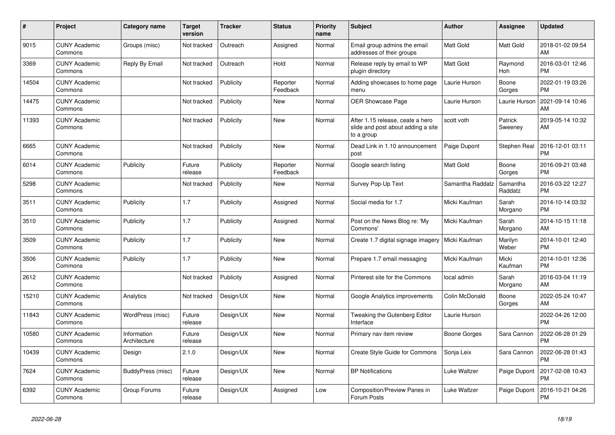| #     | Project                         | <b>Category name</b>        | <b>Target</b><br>version | <b>Tracker</b> | <b>Status</b>        | Priority<br>name | <b>Subject</b>                                                                       | <b>Author</b>       | <b>Assignee</b>     | <b>Updated</b>                |
|-------|---------------------------------|-----------------------------|--------------------------|----------------|----------------------|------------------|--------------------------------------------------------------------------------------|---------------------|---------------------|-------------------------------|
| 9015  | <b>CUNY Academic</b><br>Commons | Groups (misc)               | Not tracked              | Outreach       | Assigned             | Normal           | Email group admins the email<br>addresses of their groups                            | Matt Gold           | <b>Matt Gold</b>    | 2018-01-02 09:54<br>AM        |
| 3369  | <b>CUNY Academic</b><br>Commons | Reply By Email              | Not tracked              | Outreach       | Hold                 | Normal           | Release reply by email to WP<br>plugin directory                                     | Matt Gold           | Raymond<br>Hoh      | 2016-03-01 12:46<br><b>PM</b> |
| 14504 | <b>CUNY Academic</b><br>Commons |                             | Not tracked              | Publicity      | Reporter<br>Feedback | Normal           | Adding showcases to home page<br>menu                                                | Laurie Hurson       | Boone<br>Gorges     | 2022-01-19 03:26<br><b>PM</b> |
| 14475 | <b>CUNY Academic</b><br>Commons |                             | Not tracked              | Publicity      | <b>New</b>           | Normal           | <b>OER Showcase Page</b>                                                             | Laurie Hurson       | Laurie Hurson       | 2021-09-14 10:46<br>AM        |
| 11393 | <b>CUNY Academic</b><br>Commons |                             | Not tracked              | Publicity      | <b>New</b>           | Normal           | After 1.15 release, ceate a hero<br>slide and post about adding a site<br>to a group | scott voth          | Patrick<br>Sweeney  | 2019-05-14 10:32<br>AM        |
| 6665  | <b>CUNY Academic</b><br>Commons |                             | Not tracked              | Publicity      | <b>New</b>           | Normal           | Dead Link in 1.10 announcement<br>post                                               | Paige Dupont        | Stephen Real        | 2016-12-01 03:11<br><b>PM</b> |
| 6014  | <b>CUNY Academic</b><br>Commons | Publicity                   | Future<br>release        | Publicity      | Reporter<br>Feedback | Normal           | Google search listing                                                                | <b>Matt Gold</b>    | Boone<br>Gorges     | 2016-09-21 03:48<br><b>PM</b> |
| 5298  | <b>CUNY Academic</b><br>Commons |                             | Not tracked              | Publicity      | <b>New</b>           | Normal           | Survey Pop-Up Text                                                                   | Samantha Raddatz    | Samantha<br>Raddatz | 2016-03-22 12:27<br><b>PM</b> |
| 3511  | <b>CUNY Academic</b><br>Commons | Publicity                   | 1.7                      | Publicity      | Assigned             | Normal           | Social media for 1.7                                                                 | Micki Kaufman       | Sarah<br>Morgano    | 2014-10-14 03:32<br><b>PM</b> |
| 3510  | <b>CUNY Academic</b><br>Commons | Publicity                   | 1.7                      | Publicity      | Assigned             | Normal           | Post on the News Blog re: 'My<br>Commons'                                            | Micki Kaufman       | Sarah<br>Morgano    | 2014-10-15 11:18<br>AM        |
| 3509  | <b>CUNY Academic</b><br>Commons | Publicity                   | 1.7                      | Publicity      | <b>New</b>           | Normal           | Create 1.7 digital signage imagery                                                   | Micki Kaufman       | Marilyn<br>Weber    | 2014-10-01 12:40<br><b>PM</b> |
| 3506  | <b>CUNY Academic</b><br>Commons | Publicity                   | 1.7                      | Publicity      | <b>New</b>           | Normal           | Prepare 1.7 email messaging                                                          | Micki Kaufman       | Micki<br>Kaufman    | 2014-10-01 12:36<br><b>PM</b> |
| 2612  | <b>CUNY Academic</b><br>Commons |                             | Not tracked              | Publicity      | Assigned             | Normal           | Pinterest site for the Commons                                                       | local admin         | Sarah<br>Morgano    | 2016-03-04 11:19<br>AM        |
| 15210 | <b>CUNY Academic</b><br>Commons | Analytics                   | Not tracked              | Design/UX      | New                  | Normal           | Google Analytics improvements                                                        | Colin McDonald      | Boone<br>Gorges     | 2022-05-24 10:47<br>AM        |
| 11843 | <b>CUNY Academic</b><br>Commons | WordPress (misc)            | Future<br>release        | Design/UX      | New                  | Normal           | Tweaking the Gutenberg Editor<br>Interface                                           | Laurie Hurson       |                     | 2022-04-26 12:00<br><b>PM</b> |
| 10580 | <b>CUNY Academic</b><br>Commons | Information<br>Architecture | Future<br>release        | Design/UX      | <b>New</b>           | Normal           | Primary nav item review                                                              | <b>Boone Gorges</b> | Sara Cannon         | 2022-06-28 01:29<br><b>PM</b> |
| 10439 | <b>CUNY Academic</b><br>Commons | Design                      | 2.1.0                    | Design/UX      | <b>New</b>           | Normal           | <b>Create Style Guide for Commons</b>                                                | Sonja Leix          | Sara Cannon         | 2022-06-28 01:43<br><b>PM</b> |
| 7624  | <b>CUNY Academic</b><br>Commons | BuddyPress (misc)           | Future<br>release        | Design/UX      | <b>New</b>           | Normal           | <b>BP</b> Notifications                                                              | Luke Waltzer        | Paige Dupont        | 2017-02-08 10:43<br><b>PM</b> |
| 6392  | <b>CUNY Academic</b><br>Commons | Group Forums                | Future<br>release        | Design/UX      | Assigned             | Low              | Composition/Preview Panes in<br>Forum Posts                                          | Luke Waltzer        | Paige Dupont        | 2016-10-21 04:26<br><b>PM</b> |